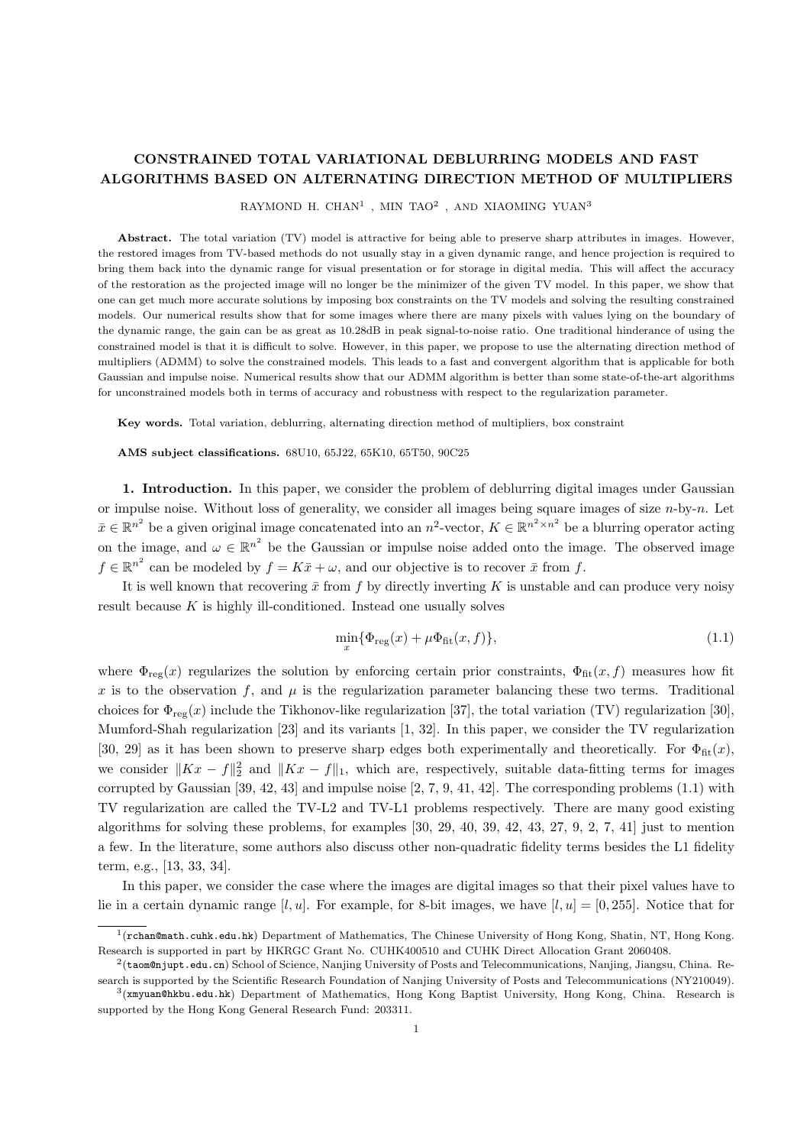## CONSTRAINED TOTAL VARIATIONAL DEBLURRING MODELS AND FAST ALGORITHMS BASED ON ALTERNATING DIRECTION METHOD OF MULTIPLIERS

RAYMOND H. CHAN<sup>1</sup>, MIN TAO<sup>2</sup>, AND XIAOMING YUAN<sup>3</sup>

Abstract. The total variation (TV) model is attractive for being able to preserve sharp attributes in images. However, the restored images from TV-based methods do not usually stay in a given dynamic range, and hence projection is required to bring them back into the dynamic range for visual presentation or for storage in digital media. This will affect the accuracy of the restoration as the projected image will no longer be the minimizer of the given TV model. In this paper, we show that one can get much more accurate solutions by imposing box constraints on the TV models and solving the resulting constrained models. Our numerical results show that for some images where there are many pixels with values lying on the boundary of the dynamic range, the gain can be as great as 10.28dB in peak signal-to-noise ratio. One traditional hinderance of using the constrained model is that it is difficult to solve. However, in this paper, we propose to use the alternating direction method of multipliers (ADMM) to solve the constrained models. This leads to a fast and convergent algorithm that is applicable for both Gaussian and impulse noise. Numerical results show that our ADMM algorithm is better than some state-of-the-art algorithms for unconstrained models both in terms of accuracy and robustness with respect to the regularization parameter.

Key words. Total variation, deblurring, alternating direction method of multipliers, box constraint

AMS subject classifications. 68U10, 65J22, 65K10, 65T50, 90C25

1. Introduction. In this paper, we consider the problem of deblurring digital images under Gaussian or impulse noise. Without loss of generality, we consider all images being square images of size  $n$ -by- $n$ . Let  $\bar{x} \in \mathbb{R}^{n^2}$  be a given original image concatenated into an  $n^2$ -vector,  $K \in \mathbb{R}^{n^2 \times n^2}$  be a blurring operator acting on the image, and  $\omega \in \mathbb{R}^{n^2}$  be the Gaussian or impulse noise added onto the image. The observed image  $f \in \mathbb{R}^{n^2}$  can be modeled by  $f = K\bar{x} + \omega$ , and our objective is to recover  $\bar{x}$  from f.

It is well known that recovering  $\bar{x}$  from f by directly inverting K is unstable and can produce very noisy result because  $K$  is highly ill-conditioned. Instead one usually solves

$$
\min_{x} \{ \Phi_{\text{reg}}(x) + \mu \Phi_{\text{fit}}(x, f) \},\tag{1.1}
$$

where  $\Phi_{\text{reg}}(x)$  regularizes the solution by enforcing certain prior constraints,  $\Phi_{\text{fit}}(x, f)$  measures how fit x is to the observation f, and  $\mu$  is the regularization parameter balancing these two terms. Traditional choices for  $\Phi_{\text{rec}}(x)$  include the Tikhonov-like regularization [37], the total variation (TV) regularization [30], Mumford-Shah regularization [23] and its variants [1, 32]. In this paper, we consider the TV regularization [30, 29] as it has been shown to preserve sharp edges both experimentally and theoretically. For  $\Phi_{\text{fit}}(x)$ , we consider  $||Kx - f||_2^2$  and  $||Kx - f||_1$ , which are, respectively, suitable data-fitting terms for images corrupted by Gaussian [39, 42, 43] and impulse noise [2, 7, 9, 41, 42]. The corresponding problems (1.1) with TV regularization are called the TV-L2 and TV-L1 problems respectively. There are many good existing algorithms for solving these problems, for examples [30, 29, 40, 39, 42, 43, 27, 9, 2, 7, 41] just to mention a few. In the literature, some authors also discuss other non-quadratic fidelity terms besides the L1 fidelity term, e.g., [13, 33, 34].

In this paper, we consider the case where the images are digital images so that their pixel values have to lie in a certain dynamic range [l, u]. For example, for 8-bit images, we have  $[l, u] = [0, 255]$ . Notice that for

<sup>&</sup>lt;sup>1</sup>(rchan@math.cuhk.edu.hk) Department of Mathematics, The Chinese University of Hong Kong, Shatin, NT, Hong Kong. Research is supported in part by HKRGC Grant No. CUHK400510 and CUHK Direct Allocation Grant 2060408.

<sup>2</sup> (taom@njupt.edu.cn) School of Science, Nanjing University of Posts and Telecommunications, Nanjing, Jiangsu, China. Research is supported by the Scientific Research Foundation of Nanjing University of Posts and Telecommunications (NY210049).

<sup>3</sup> (xmyuan@hkbu.edu.hk) Department of Mathematics, Hong Kong Baptist University, Hong Kong, China. Research is supported by the Hong Kong General Research Fund: 203311.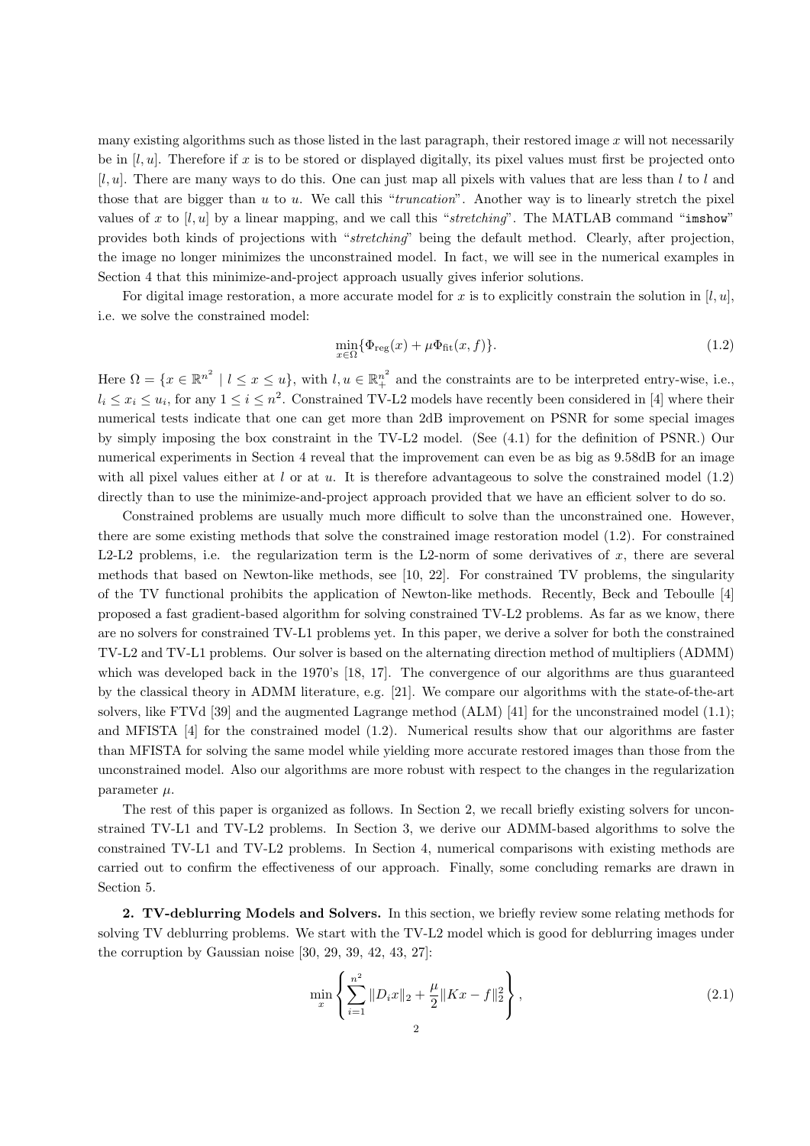many existing algorithms such as those listed in the last paragraph, their restored image  $x$  will not necessarily be in  $[l, u]$ . Therefore if x is to be stored or displayed digitally, its pixel values must first be projected onto  $[l, u]$ . There are many ways to do this. One can just map all pixels with values that are less than l to l and those that are bigger than  $u$  to  $u$ . We call this "*truncation*". Another way is to linearly stretch the pixel values of x to  $[l, u]$  by a linear mapping, and we call this "stretching". The MATLAB command "imshow" provides both kinds of projections with "stretching" being the default method. Clearly, after projection, the image no longer minimizes the unconstrained model. In fact, we will see in the numerical examples in Section 4 that this minimize-and-project approach usually gives inferior solutions.

For digital image restoration, a more accurate model for x is to explicitly constrain the solution in  $[l, u]$ , i.e. we solve the constrained model:

$$
\min_{x \in \Omega} \{ \Phi_{\text{reg}}(x) + \mu \Phi_{\text{fit}}(x, f) \}. \tag{1.2}
$$

Here  $\Omega = \{x \in \mathbb{R}^{n^2} \mid l \le x \le u\}$ , with  $l, u \in \mathbb{R}^{n^2}$  and the constraints are to be interpreted entry-wise, i.e.,  $l_i \leq x_i \leq u_i$ , for any  $1 \leq i \leq n^2$ . Constrained TV-L2 models have recently been considered in [4] where their numerical tests indicate that one can get more than 2dB improvement on PSNR for some special images by simply imposing the box constraint in the TV-L2 model. (See (4.1) for the definition of PSNR.) Our numerical experiments in Section 4 reveal that the improvement can even be as big as 9.58dB for an image with all pixel values either at l or at u. It is therefore advantageous to solve the constrained model  $(1.2)$ directly than to use the minimize-and-project approach provided that we have an efficient solver to do so.

Constrained problems are usually much more difficult to solve than the unconstrained one. However, there are some existing methods that solve the constrained image restoration model (1.2). For constrained L2-L2 problems, i.e. the regularization term is the L2-norm of some derivatives of x, there are several methods that based on Newton-like methods, see [10, 22]. For constrained TV problems, the singularity of the TV functional prohibits the application of Newton-like methods. Recently, Beck and Teboulle [4] proposed a fast gradient-based algorithm for solving constrained TV-L2 problems. As far as we know, there are no solvers for constrained TV-L1 problems yet. In this paper, we derive a solver for both the constrained TV-L2 and TV-L1 problems. Our solver is based on the alternating direction method of multipliers (ADMM) which was developed back in the 1970's [18, 17]. The convergence of our algorithms are thus guaranteed by the classical theory in ADMM literature, e.g. [21]. We compare our algorithms with the state-of-the-art solvers, like FTVd [39] and the augmented Lagrange method (ALM) [41] for the unconstrained model (1.1); and MFISTA [4] for the constrained model (1.2). Numerical results show that our algorithms are faster than MFISTA for solving the same model while yielding more accurate restored images than those from the unconstrained model. Also our algorithms are more robust with respect to the changes in the regularization parameter  $\mu$ .

The rest of this paper is organized as follows. In Section 2, we recall briefly existing solvers for unconstrained TV-L1 and TV-L2 problems. In Section 3, we derive our ADMM-based algorithms to solve the constrained TV-L1 and TV-L2 problems. In Section 4, numerical comparisons with existing methods are carried out to confirm the effectiveness of our approach. Finally, some concluding remarks are drawn in Section 5.

2. TV-deblurring Models and Solvers. In this section, we briefly review some relating methods for solving TV deblurring problems. We start with the TV-L2 model which is good for deblurring images under the corruption by Gaussian noise [30, 29, 39, 42, 43, 27]:

$$
\min_{x} \left\{ \sum_{i=1}^{n^2} \|D_i x\|_2 + \frac{\mu}{2} \|Kx - f\|_2^2 \right\},\tag{2.1}
$$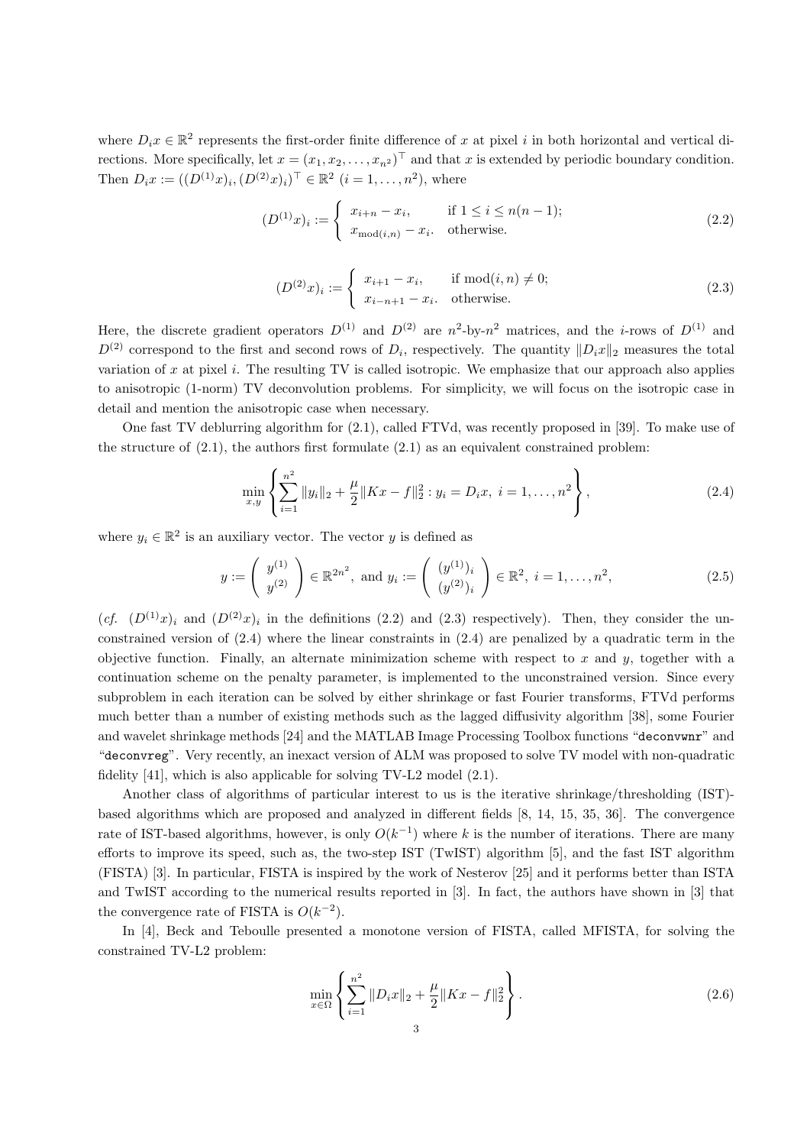where  $D_i x \in \mathbb{R}^2$  represents the first-order finite difference of x at pixel i in both horizontal and vertical directions. More specifically, let  $x = (x_1, x_2, \ldots, x_{n^2})^{\top}$  and that x is extended by periodic boundary condition. Then  $D_i x := ((D^{(1)}x)_i, (D^{(2)}x)_i)^\top \in \mathbb{R}^2 \ (i = 1, \ldots, n^2)$ , where

$$
(D^{(1)}x)_i := \begin{cases} x_{i+n} - x_i, & \text{if } 1 \le i \le n(n-1); \\ x_{\text{mod}(i,n)} - x_i, & \text{otherwise.} \end{cases}
$$
 (2.2)

$$
(D^{(2)}x)_i := \begin{cases} x_{i+1} - x_i, & \text{if } \text{mod}(i,n) \neq 0; \\ x_{i-n+1} - x_i, & \text{otherwise.} \end{cases}
$$
 (2.3)

Here, the discrete gradient operators  $D^{(1)}$  and  $D^{(2)}$  are  $n^2$ -by- $n^2$  matrices, and the *i*-rows of  $D^{(1)}$  and  $D^{(2)}$  correspond to the first and second rows of  $D_i$ , respectively. The quantity  $||D_i x||_2$  measures the total variation of x at pixel i. The resulting  $TV$  is called isotropic. We emphasize that our approach also applies to anisotropic (1-norm) TV deconvolution problems. For simplicity, we will focus on the isotropic case in detail and mention the anisotropic case when necessary.

One fast TV deblurring algorithm for (2.1), called FTVd, was recently proposed in [39]. To make use of the structure of  $(2.1)$ , the authors first formulate  $(2.1)$  as an equivalent constrained problem:

$$
\min_{x,y} \left\{ \sum_{i=1}^{n^2} \|y_i\|_2 + \frac{\mu}{2} \|Kx - f\|_2^2 : y_i = D_i x, \ i = 1, \dots, n^2 \right\},\tag{2.4}
$$

where  $y_i \in \mathbb{R}^2$  is an auxiliary vector. The vector y is defined as

$$
y := \left(\begin{array}{c} y^{(1)} \\ y^{(2)} \end{array}\right) \in \mathbb{R}^{2n^2}, \text{ and } y_i := \left(\begin{array}{c} (y^{(1)})_i \\ (y^{(2)})_i \end{array}\right) \in \mathbb{R}^2, \ i = 1, \dots, n^2,
$$
\n(2.5)

 $(cf. (D<sup>(1)</sup>x)<sub>i</sub>$  and  $(D<sup>(2)</sup>x)<sub>i</sub>$  in the definitions (2.2) and (2.3) respectively). Then, they consider the unconstrained version of  $(2.4)$  where the linear constraints in  $(2.4)$  are penalized by a quadratic term in the objective function. Finally, an alternate minimization scheme with respect to x and y, together with a continuation scheme on the penalty parameter, is implemented to the unconstrained version. Since every subproblem in each iteration can be solved by either shrinkage or fast Fourier transforms, FTVd performs much better than a number of existing methods such as the lagged diffusivity algorithm [38], some Fourier and wavelet shrinkage methods [24] and the MATLAB Image Processing Toolbox functions "deconvwnr" and "deconvreg". Very recently, an inexact version of ALM was proposed to solve TV model with non-quadratic fidelity [41], which is also applicable for solving TV-L2 model (2.1).

Another class of algorithms of particular interest to us is the iterative shrinkage/thresholding (IST) based algorithms which are proposed and analyzed in different fields [8, 14, 15, 35, 36]. The convergence rate of IST-based algorithms, however, is only  $O(k^{-1})$  where k is the number of iterations. There are many efforts to improve its speed, such as, the two-step IST (TwIST) algorithm [5], and the fast IST algorithm (FISTA) [3]. In particular, FISTA is inspired by the work of Nesterov [25] and it performs better than ISTA and TwIST according to the numerical results reported in [3]. In fact, the authors have shown in [3] that the convergence rate of FISTA is  $O(k^{-2})$ .

In [4], Beck and Teboulle presented a monotone version of FISTA, called MFISTA, for solving the constrained TV-L2 problem:

$$
\min_{x \in \Omega} \left\{ \sum_{i=1}^{n^2} \|D_i x\|_2 + \frac{\mu}{2} \|Kx - f\|_2^2 \right\}.
$$
\n(2.6)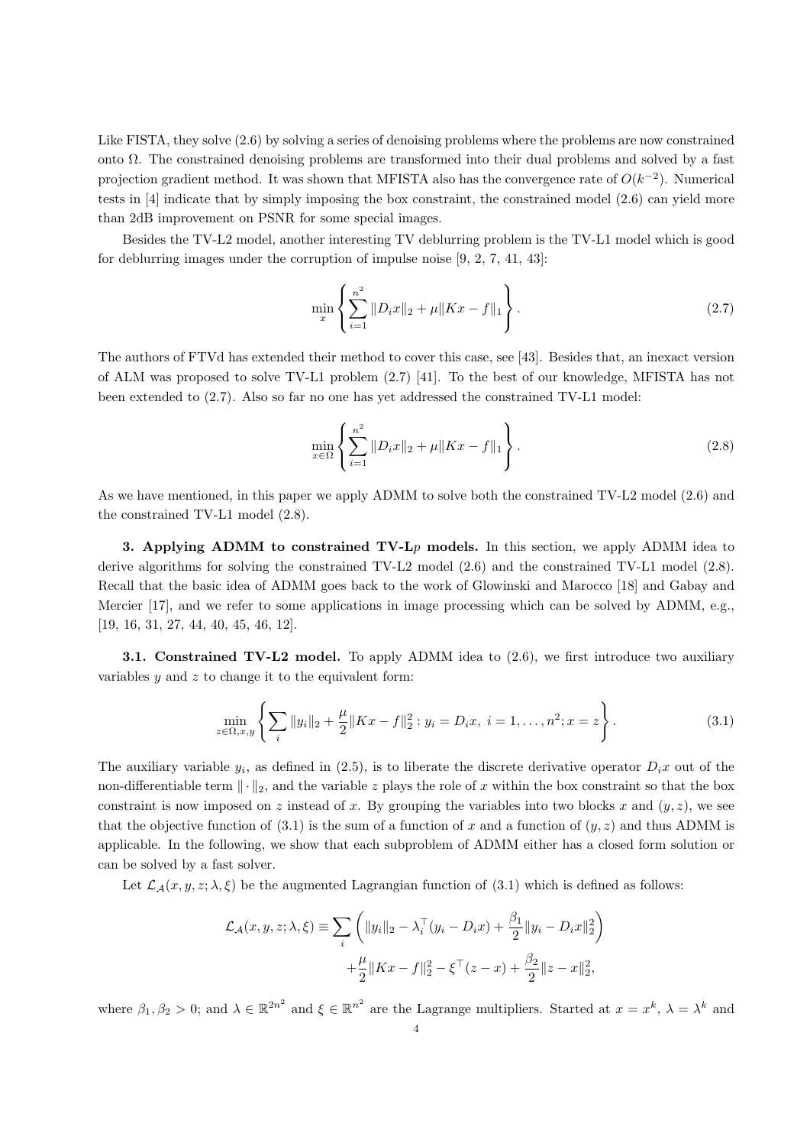Like FISTA, they solve (2.6) by solving a series of denoising problems where the problems are now constrained onto Ω. The constrained denoising problems are transformed into their dual problems and solved by a fast projection gradient method. It was shown that MFISTA also has the convergence rate of  $O(k^{-2})$ . Numerical tests in [4] indicate that by simply imposing the box constraint, the constrained model (2.6) can yield more than 2dB improvement on PSNR for some special images.

Besides the TV-L2 model, another interesting TV deblurring problem is the TV-L1 model which is good for deblurring images under the corruption of impulse noise [9, 2, 7, 41, 43]:

$$
\min_{x} \left\{ \sum_{i=1}^{n^2} \|D_i x\|_2 + \mu \|Kx - f\|_1 \right\}.
$$
\n(2.7)

The authors of FTVd has extended their method to cover this case, see [43]. Besides that, an inexact version of ALM was proposed to solve TV-L1 problem (2.7) [41]. To the best of our knowledge, MFISTA has not been extended to (2.7). Also so far no one has yet addressed the constrained TV-L1 model:

$$
\min_{x \in \Omega} \left\{ \sum_{i=1}^{n^2} \|D_i x\|_2 + \mu \|Kx - f\|_1 \right\}.
$$
\n(2.8)

As we have mentioned, in this paper we apply ADMM to solve both the constrained TV-L2 model (2.6) and the constrained TV-L1 model (2.8).

3. Applying ADMM to constrained  $TV-Lp$  models. In this section, we apply ADMM idea to derive algorithms for solving the constrained TV-L2 model (2.6) and the constrained TV-L1 model (2.8). Recall that the basic idea of ADMM goes back to the work of Glowinski and Marocco [18] and Gabay and Mercier [17], and we refer to some applications in image processing which can be solved by ADMM, e.g., [19, 16, 31, 27, 44, 40, 45, 46, 12].

3.1. Constrained TV-L2 model. To apply ADMM idea to (2.6), we first introduce two auxiliary variables  $y$  and  $z$  to change it to the equivalent form:

$$
\min_{z \in \Omega, x, y} \left\{ \sum_{i} ||y_i||_2 + \frac{\mu}{2} ||Kx - f||_2^2 : y_i = D_i x, \ i = 1, \dots, n^2; x = z \right\}.
$$
\n(3.1)

The auxiliary variable  $y_i$ , as defined in (2.5), is to liberate the discrete derivative operator  $D_ix$  out of the non-differentiable term  $\|\cdot\|_2$ , and the variable z plays the role of x within the box constraint so that the box constraint is now imposed on z instead of x. By grouping the variables into two blocks x and  $(y, z)$ , we see that the objective function of (3.1) is the sum of a function of x and a function of  $(y, z)$  and thus ADMM is applicable. In the following, we show that each subproblem of ADMM either has a closed form solution or can be solved by a fast solver.

Let  $\mathcal{L}_{\mathcal{A}}(x, y, z; \lambda, \xi)$  be the augmented Lagrangian function of (3.1) which is defined as follows:

$$
\mathcal{L}_{\mathcal{A}}(x, y, z; \lambda, \xi) \equiv \sum_{i} \left( \|y_i\|_2 - \lambda_i^{\top} (y_i - D_i x) + \frac{\beta_1}{2} \|y_i - D_i x\|_2^2 \right) + \frac{\mu}{2} \|Kx - f\|_2^2 - \xi^{\top} (z - x) + \frac{\beta_2}{2} \|z - x\|_2^2,
$$

where  $\beta_1, \beta_2 > 0$ ; and  $\lambda \in \mathbb{R}^{2n^2}$  and  $\xi \in \mathbb{R}^{n^2}$  are the Lagrange multipliers. Started at  $x = x^k$ ,  $\lambda = \lambda^k$  and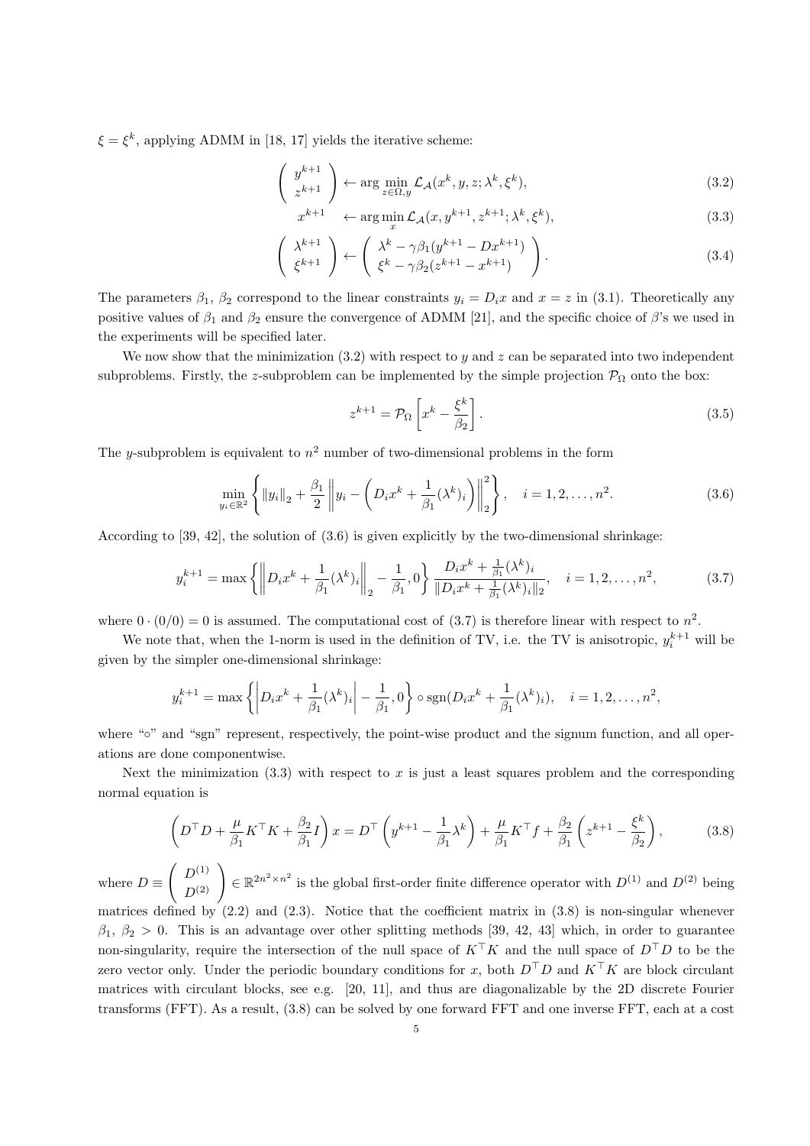$\xi = \xi^k$ , applying ADMM in [18, 17] yields the iterative scheme:

$$
\begin{pmatrix} y^{k+1} \\ z^{k+1} \end{pmatrix} \leftarrow \arg\min_{z \in \Omega, y} \mathcal{L}_{\mathcal{A}}(x^k, y, z; \lambda^k, \xi^k), \tag{3.2}
$$

$$
x^{k+1} \quad \leftarrow \arg\min_{x} \mathcal{L}_{\mathcal{A}}(x, y^{k+1}, z^{k+1}; \lambda^k, \xi^k), \tag{3.3}
$$

$$
\begin{pmatrix} \lambda^{k+1} \\ \xi^{k+1} \end{pmatrix} \leftarrow \begin{pmatrix} \lambda^k - \gamma \beta_1 (y^{k+1} - Dx^{k+1}) \\ \xi^k - \gamma \beta_2 (z^{k+1} - x^{k+1}) \end{pmatrix}.
$$
 (3.4)

The parameters  $\beta_1$ ,  $\beta_2$  correspond to the linear constraints  $y_i = D_i x$  and  $x = z$  in (3.1). Theoretically any positive values of  $\beta_1$  and  $\beta_2$  ensure the convergence of ADMM [21], and the specific choice of  $\beta$ 's we used in the experiments will be specified later.

We now show that the minimization  $(3.2)$  with respect to y and z can be separated into two independent subproblems. Firstly, the z-subproblem can be implemented by the simple projection  $\mathcal{P}_{\Omega}$  onto the box:

$$
z^{k+1} = \mathcal{P}_{\Omega} \left[ x^k - \frac{\xi^k}{\beta_2} \right]. \tag{3.5}
$$

The y-subproblem is equivalent to  $n^2$  number of two-dimensional problems in the form

$$
\min_{y_i \in \mathbb{R}^2} \left\{ \|y_i\|_2 + \frac{\beta_1}{2} \left\| y_i - \left( D_i x^k + \frac{1}{\beta_1} (\lambda^k)_i \right) \right\|_2^2 \right\}, \quad i = 1, 2, \dots, n^2. \tag{3.6}
$$

According to [39, 42], the solution of (3.6) is given explicitly by the two-dimensional shrinkage:

$$
y_i^{k+1} = \max\left\{ \left\| D_i x^k + \frac{1}{\beta_1} (\lambda^k)_i \right\|_2 - \frac{1}{\beta_1}, 0 \right\} \frac{D_i x^k + \frac{1}{\beta_1} (\lambda^k)_i}{\| D_i x^k + \frac{1}{\beta_1} (\lambda^k)_i \|_2}, \quad i = 1, 2, \dots, n^2,
$$
\n(3.7)

where  $0 \cdot (0/0) = 0$  is assumed. The computational cost of (3.7) is therefore linear with respect to  $n^2$ .

We note that, when the 1-norm is used in the definition of TV, i.e. the TV is anisotropic,  $y_i^{k+1}$  will be given by the simpler one-dimensional shrinkage:

$$
y_i^{k+1} = \max\left\{ \left| D_i x^k + \frac{1}{\beta_1} (\lambda^k)_i \right| - \frac{1}{\beta_1}, 0 \right\} \circ \text{sgn}(D_i x^k + \frac{1}{\beta_1} (\lambda^k)_i), \quad i = 1, 2, \dots, n^2,
$$

where "∘" and "sgn" represent, respectively, the point-wise product and the signum function, and all operations are done componentwise.

Next the minimization  $(3.3)$  with respect to x is just a least squares problem and the corresponding normal equation is

$$
\left(D^{\top}D + \frac{\mu}{\beta_1}K^{\top}K + \frac{\beta_2}{\beta_1}I\right)x = D^{\top}\left(y^{k+1} - \frac{1}{\beta_1}\lambda^k\right) + \frac{\mu}{\beta_1}K^{\top}f + \frac{\beta_2}{\beta_1}\left(z^{k+1} - \frac{\xi^k}{\beta_2}\right),\tag{3.8}
$$

where  $D \equiv$  $\begin{pmatrix} D^{(1)} \\ D^{(2)} \end{pmatrix} \in \mathbb{R}^{2n^2 \times n^2}$  is the global first-order finite difference operator with  $D^{(1)}$  and  $D^{(2)}$  being matrices defined by  $(2.2)$  and  $(2.3)$ . Notice that the coefficient matrix in  $(3.8)$  is non-singular whenever  $\beta_1, \beta_2 > 0$ . This is an advantage over other splitting methods [39, 42, 43] which, in order to guarantee non-singularity, require the intersection of the null space of  $K^{\top}K$  and the null space of  $D^{\top}D$  to be the zero vector only. Under the periodic boundary conditions for x, both  $D^{\top}D$  and  $K^{\top}K$  are block circulant matrices with circulant blocks, see e.g. [20, 11], and thus are diagonalizable by the 2D discrete Fourier transforms (FFT). As a result, (3.8) can be solved by one forward FFT and one inverse FFT, each at a cost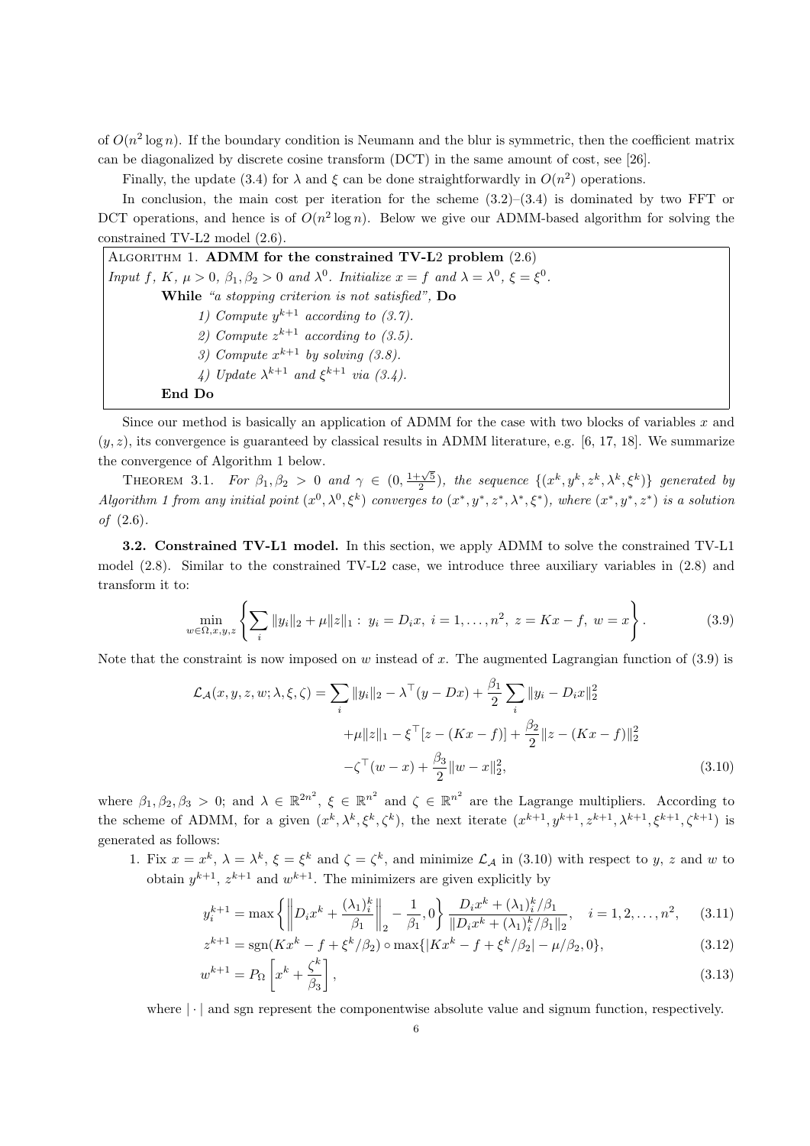of  $O(n^2 \log n)$ . If the boundary condition is Neumann and the blur is symmetric, then the coefficient matrix can be diagonalized by discrete cosine transform (DCT) in the same amount of cost, see [26].

Finally, the update (3.4) for  $\lambda$  and  $\xi$  can be done straightforwardly in  $O(n^2)$  operations.

In conclusion, the main cost per iteration for the scheme  $(3.2)$ – $(3.4)$  is dominated by two FFT or DCT operations, and hence is of  $O(n^2 \log n)$ . Below we give our ADMM-based algorithm for solving the constrained TV-L2 model (2.6).

ALGORITHM 1. ADMM for the constrained TV-L2 problem  $(2.6)$ Input f, K,  $\mu > 0$ ,  $\beta_1, \beta_2 > 0$  and  $\lambda^0$ . Initialize  $x = f$  and  $\lambda = \lambda^0$ ,  $\xi = \xi^0$ . While "a stopping criterion is not satisfied", Do 1) Compute  $y^{k+1}$  according to (3.7). 2) Compute  $z^{k+1}$  according to (3.5). 3) Compute  $x^{k+1}$  by solving (3.8). 4) Update  $\lambda^{k+1}$  and  $\xi^{k+1}$  via (3.4).

## End Do

Since our method is basically an application of ADMM for the case with two blocks of variables x and  $(y, z)$ , its convergence is guaranteed by classical results in ADMM literature, e.g. [6, 17, 18]. We summarize the convergence of Algorithm 1 below.

THEOREM 3.1. For  $\beta_1, \beta_2 > 0$  and  $\gamma \in (0, \frac{1+\sqrt{5}}{2})$ , the sequence  $\{(x^k, y^k, z^k, \lambda^k, \xi^k)\}$  generated by Algorithm 1 from any initial point  $(x^0, \lambda^0, \xi^k)$  converges to  $(x^*, y^*, z^*, \lambda^*, \xi^*)$ , where  $(x^*, y^*, z^*)$  is a solution of (2.6).

3.2. Constrained TV-L1 model. In this section, we apply ADMM to solve the constrained TV-L1 model (2.8). Similar to the constrained TV-L2 case, we introduce three auxiliary variables in (2.8) and transform it to:

$$
\min_{w \in \Omega, x, y, z} \left\{ \sum_{i} ||y_i||_2 + \mu ||z||_1 : y_i = D_i x, \ i = 1, \dots, n^2, \ z = Kx - f, \ w = x \right\}.
$$
\n(3.9)

Note that the constraint is now imposed on w instead of x. The augmented Lagrangian function of  $(3.9)$  is

$$
\mathcal{L}_{\mathcal{A}}(x, y, z, w; \lambda, \xi, \zeta) = \sum_{i} ||y_{i}||_{2} - \lambda^{\top} (y - Dx) + \frac{\beta_{1}}{2} \sum_{i} ||y_{i} - D_{i}x||_{2}^{2}
$$

$$
+ \mu ||z||_{1} - \xi^{\top} [z - (Kx - f)] + \frac{\beta_{2}}{2} ||z - (Kx - f)||_{2}^{2}
$$

$$
- \zeta^{\top} (w - x) + \frac{\beta_{3}}{2} ||w - x||_{2}^{2},
$$
(3.10)

where  $\beta_1, \beta_2, \beta_3 > 0$ ; and  $\lambda \in \mathbb{R}^{2n^2}$ ,  $\xi \in \mathbb{R}^{n^2}$  and  $\zeta \in \mathbb{R}^{n^2}$  are the Lagrange multipliers. According to the scheme of ADMM, for a given  $(x^k, \lambda^k, \xi^k, \zeta^k)$ , the next iterate  $(x^{k+1}, y^{k+1}, z^{k+1}, \lambda^{k+1}, \xi^{k+1}, \zeta^{k+1})$  is generated as follows:

1. Fix  $x = x^k$ ,  $\lambda = \lambda^k$ ,  $\xi = \xi^k$  and  $\zeta = \zeta^k$ , and minimize  $\mathcal{L}_{\mathcal{A}}$  in (3.10) with respect to y, z and w to obtain  $y^{k+1}$ ,  $z^{k+1}$  and  $w^{k+1}$ . The minimizers are given explicitly by

$$
y_i^{k+1} = \max\left\{ \left\| D_i x^k + \frac{(\lambda_1)_i^k}{\beta_1} \right\|_2 - \frac{1}{\beta_1}, 0 \right\} \frac{D_i x^k + (\lambda_1)_i^k / \beta_1}{\| D_i x^k + (\lambda_1)_i^k / \beta_1 \|_2}, \quad i = 1, 2, \dots, n^2, \quad (3.11)
$$

$$
z^{k+1} = \text{sgn}(Kx^k - f + \xi^k/\beta_2) \circ \max\{|Kx^k - f + \xi^k/\beta_2| - \mu/\beta_2, 0\},\tag{3.12}
$$

$$
w^{k+1} = P_{\Omega} \left[ x^k + \frac{\zeta^k}{\beta_3} \right],\tag{3.13}
$$

where  $\lvert \cdot \rvert$  and sgn represent the componentwise absolute value and signum function, respectively.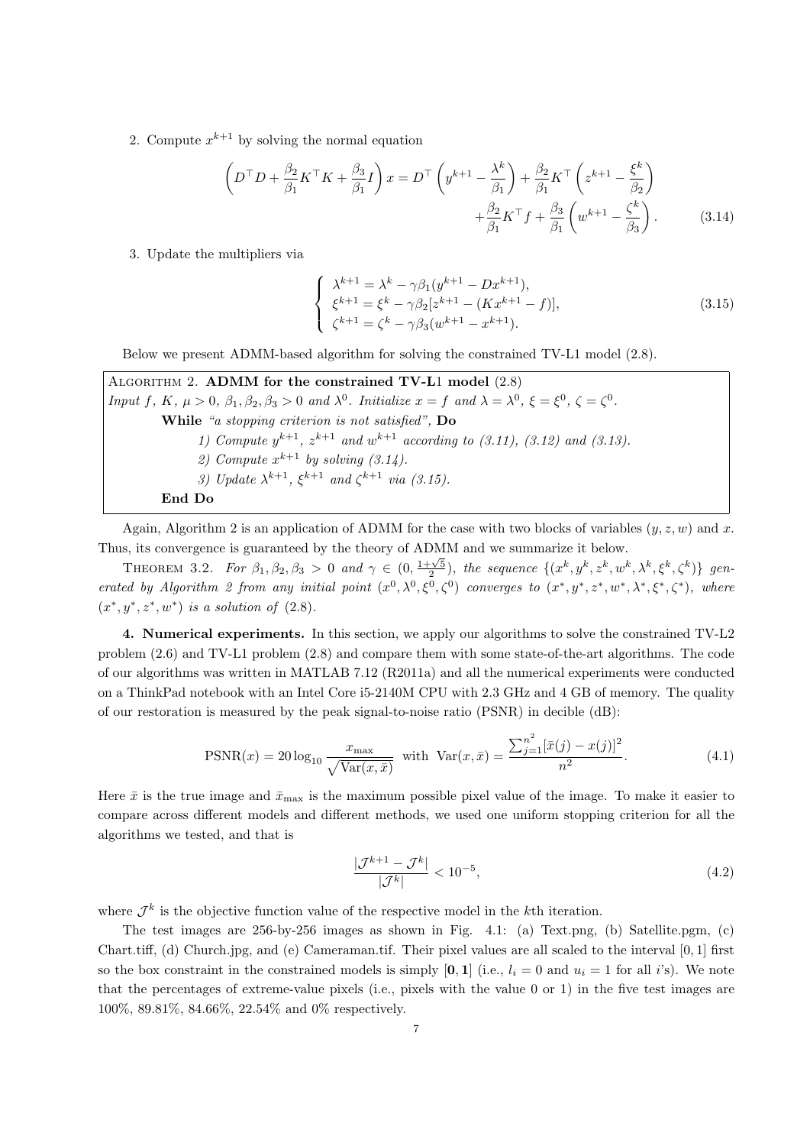2. Compute  $x^{k+1}$  by solving the normal equation

$$
\left(D^{\top}D + \frac{\beta_2}{\beta_1}K^{\top}K + \frac{\beta_3}{\beta_1}I\right)x = D^{\top}\left(y^{k+1} - \frac{\lambda^k}{\beta_1}\right) + \frac{\beta_2}{\beta_1}K^{\top}\left(z^{k+1} - \frac{\xi^k}{\beta_2}\right) + \frac{\beta_2}{\beta_1}K^{\top}f + \frac{\beta_3}{\beta_1}\left(w^{k+1} - \frac{\zeta^k}{\beta_3}\right).
$$
\n(3.14)

3. Update the multipliers via

$$
\begin{cases}\n\lambda^{k+1} = \lambda^k - \gamma \beta_1 (y^{k+1} - Dx^{k+1}), \\
\xi^{k+1} = \xi^k - \gamma \beta_2 [z^{k+1} - (Kx^{k+1} - f)], \\
\zeta^{k+1} = \zeta^k - \gamma \beta_3 (w^{k+1} - x^{k+1}).\n\end{cases} (3.15)
$$

Below we present ADMM-based algorithm for solving the constrained TV-L1 model (2.8).

ALGORITHM 2. ADMM for the constrained  $TV-L1$  model  $(2.8)$ Input f, K,  $\mu > 0$ ,  $\beta_1, \beta_2, \beta_3 > 0$  and  $\lambda^0$ . Initialize  $x = f$  and  $\lambda = \lambda^0$ ,  $\xi = \xi^0$ ,  $\zeta = \zeta^0$ . While "a stopping criterion is not satisfied", Do 1) Compute  $y^{k+1}$ ,  $z^{k+1}$  and  $w^{k+1}$  according to (3.11), (3.12) and (3.13). 2) Compute  $x^{k+1}$  by solving  $(3.14)$ . 3) Update  $\lambda^{k+1}$ ,  $\xi^{k+1}$  and  $\zeta^{k+1}$  via (3.15). End Do

Again, Algorithm 2 is an application of ADMM for the case with two blocks of variables  $(y, z, w)$  and x. Thus, its convergence is guaranteed by the theory of ADMM and we summarize it below.

THEOREM 3.2. For  $\beta_1, \beta_2, \beta_3 > 0$  and  $\gamma \in (0, \frac{1+\sqrt{5}}{2})$ , the sequence  $\{(x^k, y^k, z^k, w^k, \lambda^k, \xi^k, \zeta^k)\}$  generated by Algorithm 2 from any initial point  $(x^0, \lambda^0, \xi^0, \zeta^0)$  converges to  $(x^*, y^*, z^*, w^*, \lambda^*, \xi^*, \zeta^*)$ , where  $(x^*, y^*, z^*, w^*)$  is a solution of  $(2.8)$ .

4. Numerical experiments. In this section, we apply our algorithms to solve the constrained TV-L2 problem (2.6) and TV-L1 problem (2.8) and compare them with some state-of-the-art algorithms. The code of our algorithms was written in MATLAB 7.12 (R2011a) and all the numerical experiments were conducted on a ThinkPad notebook with an Intel Core i5-2140M CPU with 2.3 GHz and 4 GB of memory. The quality of our restoration is measured by the peak signal-to-noise ratio (PSNR) in decible (dB):

$$
\text{PSNR}(x) = 20 \log_{10} \frac{x_{\text{max}}}{\sqrt{\text{Var}(x, \bar{x})}} \text{ with } \text{Var}(x, \bar{x}) = \frac{\sum_{j=1}^{n^2} [\bar{x}(j) - x(j)]^2}{n^2}.
$$
 (4.1)

Here  $\bar{x}$  is the true image and  $\bar{x}_{\text{max}}$  is the maximum possible pixel value of the image. To make it easier to compare across different models and different methods, we used one uniform stopping criterion for all the algorithms we tested, and that is

$$
\frac{|\mathcal{J}^{k+1} - \mathcal{J}^k|}{|\mathcal{J}^k|} < 10^{-5},\tag{4.2}
$$

where  $\mathcal{J}^k$  is the objective function value of the respective model in the k<sup>th</sup> iteration.

The test images are 256-by-256 images as shown in Fig. 4.1: (a) Text.png, (b) Satellite.pgm, (c) Chart.tiff, (d) Church.jpg, and (e) Cameraman.tif. Their pixel values are all scaled to the interval [0, 1] first so the box constraint in the constrained models is simply [0, 1] (i.e.,  $l_i = 0$  and  $u_i = 1$  for all i's). We note that the percentages of extreme-value pixels (i.e., pixels with the value 0 or 1) in the five test images are 100%, 89.81%, 84.66%, 22.54% and 0% respectively.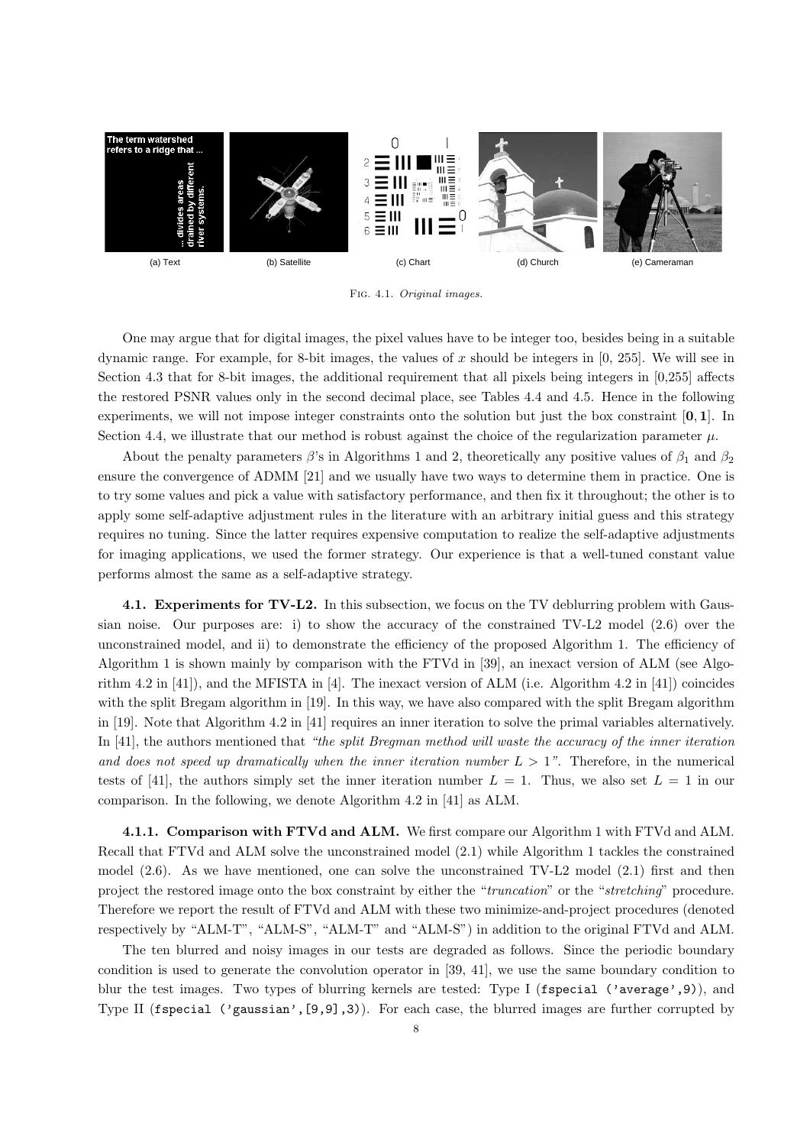

Fig. 4.1. Original images.

One may argue that for digital images, the pixel values have to be integer too, besides being in a suitable dynamic range. For example, for 8-bit images, the values of x should be integers in [0, 255]. We will see in Section 4.3 that for 8-bit images, the additional requirement that all pixels being integers in [0,255] affects the restored PSNR values only in the second decimal place, see Tables 4.4 and 4.5. Hence in the following experiments, we will not impose integer constraints onto the solution but just the box constraint  $[0, 1]$ . In Section 4.4, we illustrate that our method is robust against the choice of the regularization parameter  $\mu$ .

About the penalty parameters  $\beta$ 's in Algorithms 1 and 2, theoretically any positive values of  $\beta_1$  and  $\beta_2$ ensure the convergence of ADMM [21] and we usually have two ways to determine them in practice. One is to try some values and pick a value with satisfactory performance, and then fix it throughout; the other is to apply some self-adaptive adjustment rules in the literature with an arbitrary initial guess and this strategy requires no tuning. Since the latter requires expensive computation to realize the self-adaptive adjustments for imaging applications, we used the former strategy. Our experience is that a well-tuned constant value performs almost the same as a self-adaptive strategy.

4.1. Experiments for TV-L2. In this subsection, we focus on the TV deblurring problem with Gaussian noise. Our purposes are: i) to show the accuracy of the constrained TV-L2 model (2.6) over the unconstrained model, and ii) to demonstrate the efficiency of the proposed Algorithm 1. The efficiency of Algorithm 1 is shown mainly by comparison with the FTVd in [39], an inexact version of ALM (see Algorithm 4.2 in [41]), and the MFISTA in [4]. The inexact version of ALM (i.e. Algorithm 4.2 in [41]) coincides with the split Bregam algorithm in [19]. In this way, we have also compared with the split Bregam algorithm in [19]. Note that Algorithm 4.2 in [41] requires an inner iteration to solve the primal variables alternatively. In [41], the authors mentioned that "the split Bregman method will waste the accuracy of the inner iteration and does not speed up dramatically when the inner iteration number  $L > 1$ ". Therefore, in the numerical tests of [41], the authors simply set the inner iteration number  $L = 1$ . Thus, we also set  $L = 1$  in our comparison. In the following, we denote Algorithm 4.2 in [41] as ALM.

4.1.1. Comparison with FTVd and ALM. We first compare our Algorithm 1 with FTVd and ALM. Recall that FTVd and ALM solve the unconstrained model (2.1) while Algorithm 1 tackles the constrained model (2.6). As we have mentioned, one can solve the unconstrained TV-L2 model (2.1) first and then project the restored image onto the box constraint by either the "truncation" or the "stretching" procedure. Therefore we report the result of FTVd and ALM with these two minimize-and-project procedures (denoted respectively by "ALM-T", "ALM-S", "ALM-T" and "ALM-S") in addition to the original FTVd and ALM.

The ten blurred and noisy images in our tests are degraded as follows. Since the periodic boundary condition is used to generate the convolution operator in [39, 41], we use the same boundary condition to blur the test images. Two types of blurring kernels are tested: Type I (fspecial ('average',9)), and Type II (fspecial ('gaussian',  $(9,9,9,3)$ ). For each case, the blurred images are further corrupted by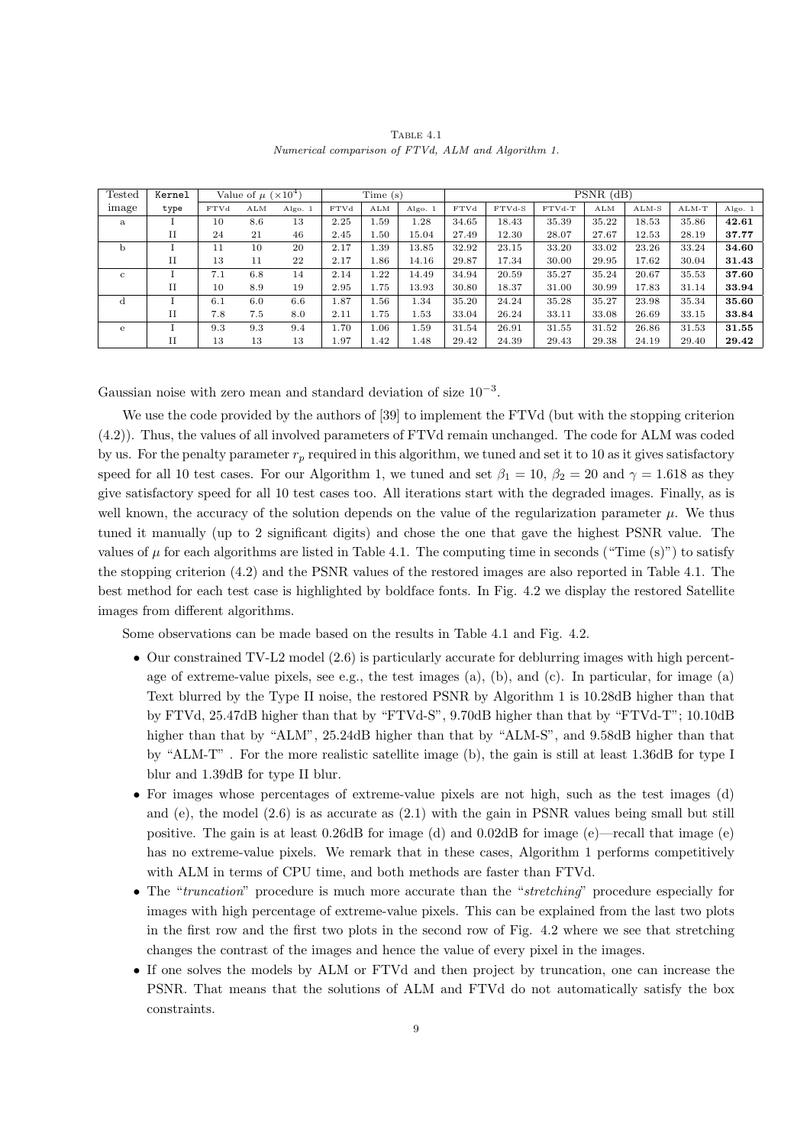TABLE 4.1 Numerical comparison of FTVd, ALM and Algorithm 1.

| Tested       | Kernel      | Value of $\mu$ ( $\times 10^4$ ) |     |         | Time(s) |          |         | $PSNR$ (dB) |        |        |       |         |         |         |
|--------------|-------------|----------------------------------|-----|---------|---------|----------|---------|-------------|--------|--------|-------|---------|---------|---------|
| image        | type        | <b>FTVd</b>                      | ALM | Algo. 1 | FTVd    | ALM      | Algo. 1 | FTVd        | FTVd-S | FTVd-T | ALM   | $ALM-S$ | $ALM-T$ | Algo. 1 |
| a            |             | 10                               | 8.6 | 13      | 2.25    | 1.59     | 1.28    | 34.65       | 18.43  | 35.39  | 35.22 | 18.53   | 35.86   | 42.61   |
|              | $_{\rm II}$ | 24                               | 21  | 46      | 2.45    | $1.50\,$ | 15.04   | 27.49       | 12.30  | 28.07  | 27.67 | 12.53   | 28.19   | 37.77   |
| b            |             | 11                               | 10  | 20      | 2.17    | L.39     | 13.85   | 32.92       | 23.15  | 33.20  | 33.02 | 23.26   | 33.24   | 34.60   |
|              | $_{\rm II}$ | 13                               | 11  | 22      | 2.17    | 1.86     | 14.16   | 29.87       | 17.34  | 30.00  | 29.95 | 17.62   | 30.04   | 31.43   |
| $\mathbf{c}$ |             | 7.1                              | 6.8 | 14      | 2.14    | 1.22     | 14.49   | 34.94       | 20.59  | 35.27  | 35.24 | 20.67   | 35.53   | 37.60   |
|              | $_{\rm II}$ | 10                               | 8.9 | 19      | 2.95    | 1.75     | 13.93   | 30.80       | 18.37  | 31.00  | 30.99 | 17.83   | 31.14   | 33.94   |
|              |             | 6.1                              | 6.0 | 6.6     | 1.87    | L.56     | 1.34    | 35.20       | 24.24  | 35.28  | 35.27 | 23.98   | 35.34   | 35.60   |
|              | П           | 7.8                              | 7.5 | 8.0     | 2.11    | 1.75     | 1.53    | 33.04       | 26.24  | 33.11  | 33.08 | 26.69   | 33.15   | 33.84   |
| e            |             | 9.3                              | 9.3 | 9.4     | 1.70    | 1.06     | 1.59    | 31.54       | 26.91  | 31.55  | 31.52 | 26.86   | 31.53   | 31.55   |
|              | П           | 13                               | 13  | 13      | 1.97    | 1.42     | 1.48    | 29.42       | 24.39  | 29.43  | 29.38 | 24.19   | 29.40   | 29.42   |

Gaussian noise with zero mean and standard deviation of size  $10^{-3}$ .

We use the code provided by the authors of [39] to implement the FTVd (but with the stopping criterion (4.2)). Thus, the values of all involved parameters of FTVd remain unchanged. The code for ALM was coded by us. For the penalty parameter  $r_p$  required in this algorithm, we tuned and set it to 10 as it gives satisfactory speed for all 10 test cases. For our Algorithm 1, we tuned and set  $\beta_1 = 10$ ,  $\beta_2 = 20$  and  $\gamma = 1.618$  as they give satisfactory speed for all 10 test cases too. All iterations start with the degraded images. Finally, as is well known, the accuracy of the solution depends on the value of the regularization parameter  $\mu$ . We thus tuned it manually (up to 2 significant digits) and chose the one that gave the highest PSNR value. The values of  $\mu$  for each algorithms are listed in Table 4.1. The computing time in seconds ("Time (s)") to satisfy the stopping criterion (4.2) and the PSNR values of the restored images are also reported in Table 4.1. The best method for each test case is highlighted by boldface fonts. In Fig. 4.2 we display the restored Satellite images from different algorithms.

Some observations can be made based on the results in Table 4.1 and Fig. 4.2.

- Our constrained TV-L2 model (2.6) is particularly accurate for deblurring images with high percentage of extreme-value pixels, see e.g., the test images (a), (b), and (c). In particular, for image (a) Text blurred by the Type II noise, the restored PSNR by Algorithm 1 is 10.28dB higher than that by FTVd, 25.47dB higher than that by "FTVd-S", 9.70dB higher than that by "FTVd-T"; 10.10dB higher than that by "ALM", 25.24dB higher than that by "ALM-S", and 9.58dB higher than that by "ALM-T" . For the more realistic satellite image (b), the gain is still at least 1.36dB for type I blur and 1.39dB for type II blur.
- For images whose percentages of extreme-value pixels are not high, such as the test images (d) and (e), the model  $(2.6)$  is as accurate as  $(2.1)$  with the gain in PSNR values being small but still positive. The gain is at least 0.26dB for image (d) and 0.02dB for image (e)—recall that image (e) has no extreme-value pixels. We remark that in these cases, Algorithm 1 performs competitively with ALM in terms of CPU time, and both methods are faster than FTVd.
- The "truncation" procedure is much more accurate than the "stretching" procedure especially for images with high percentage of extreme-value pixels. This can be explained from the last two plots in the first row and the first two plots in the second row of Fig. 4.2 where we see that stretching changes the contrast of the images and hence the value of every pixel in the images.
- If one solves the models by ALM or FTVd and then project by truncation, one can increase the PSNR. That means that the solutions of ALM and FTVd do not automatically satisfy the box constraints.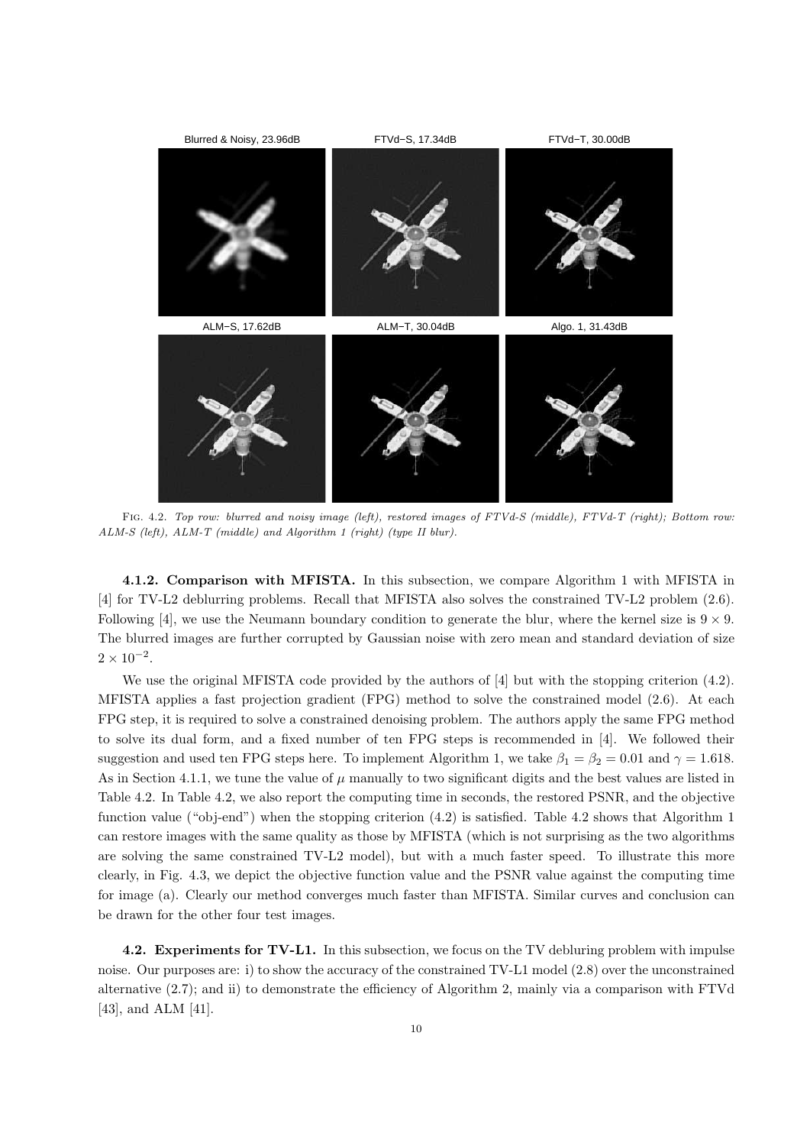

FIG. 4.2. Top row: blurred and noisy image (left), restored images of FTVd-S (middle), FTVd-T (right); Bottom row: ALM-S (left), ALM-T (middle) and Algorithm 1 (right) (type II blur).

4.1.2. Comparison with MFISTA. In this subsection, we compare Algorithm 1 with MFISTA in [4] for TV-L2 deblurring problems. Recall that MFISTA also solves the constrained TV-L2 problem (2.6). Following [4], we use the Neumann boundary condition to generate the blur, where the kernel size is  $9 \times 9$ . The blurred images are further corrupted by Gaussian noise with zero mean and standard deviation of size  $2 \times 10^{-2}$ .

We use the original MFISTA code provided by the authors of [4] but with the stopping criterion (4.2). MFISTA applies a fast projection gradient (FPG) method to solve the constrained model (2.6). At each FPG step, it is required to solve a constrained denoising problem. The authors apply the same FPG method to solve its dual form, and a fixed number of ten FPG steps is recommended in [4]. We followed their suggestion and used ten FPG steps here. To implement Algorithm 1, we take  $\beta_1 = \beta_2 = 0.01$  and  $\gamma = 1.618$ . As in Section 4.1.1, we tune the value of  $\mu$  manually to two significant digits and the best values are listed in Table 4.2. In Table 4.2, we also report the computing time in seconds, the restored PSNR, and the objective function value ("obj-end") when the stopping criterion (4.2) is satisfied. Table 4.2 shows that Algorithm 1 can restore images with the same quality as those by MFISTA (which is not surprising as the two algorithms are solving the same constrained TV-L2 model), but with a much faster speed. To illustrate this more clearly, in Fig. 4.3, we depict the objective function value and the PSNR value against the computing time for image (a). Clearly our method converges much faster than MFISTA. Similar curves and conclusion can be drawn for the other four test images.

4.2. Experiments for TV-L1. In this subsection, we focus on the TV debluring problem with impulse noise. Our purposes are: i) to show the accuracy of the constrained TV-L1 model (2.8) over the unconstrained alternative (2.7); and ii) to demonstrate the efficiency of Algorithm 2, mainly via a comparison with FTVd [43], and ALM [41].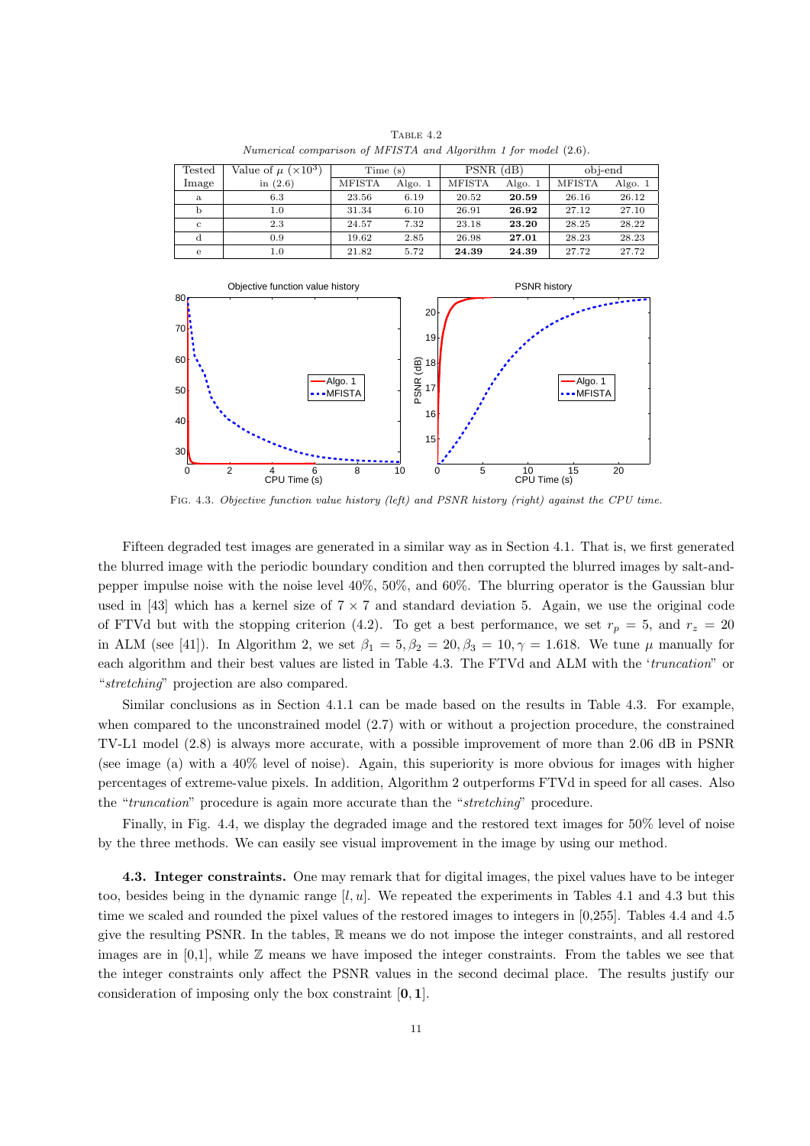| Tested       | Value of $\mu$ ( $\times$ 10 <sup>3</sup> ) | Time(s)       |         | $PSNR$ (dB)   |         | obj-end       |         |  |
|--------------|---------------------------------------------|---------------|---------|---------------|---------|---------------|---------|--|
| Image        | in $(2.6)$                                  | <b>MFISTA</b> | Algo. 1 | <b>MFISTA</b> | Algo. 1 | <b>MFISTA</b> | Algo. 1 |  |
| a            | 6.3                                         | 23.56         | 6.19    | 20.52         | 20.59   | 26.16         | 26.12   |  |
| b            | 1.0                                         | 31.34         | 6.10    | 26.91         | 26.92   | 27.12         | 27.10   |  |
| $\mathbf{C}$ | 2.3                                         | 24.57         | 7.32    | 23.18         | 23.20   | 28.25         | 28.22   |  |
| d            | 0.9                                         | 19.62         | 2.85    | 26.98         | 27.01   | 28.23         | 28.23   |  |
| e            | 1.0                                         | 21.82         | 5.72    | 24.39         | 24.39   | 27.72         | 27.72   |  |

TABLE  $4.2$ Numerical comparison of MFISTA and Algorithm 1 for model (2.6).



Fig. 4.3. Objective function value history (left) and PSNR history (right) against the CPU time.

Fifteen degraded test images are generated in a similar way as in Section 4.1. That is, we first generated the blurred image with the periodic boundary condition and then corrupted the blurred images by salt-andpepper impulse noise with the noise level 40%, 50%, and 60%. The blurring operator is the Gaussian blur used in [43] which has a kernel size of  $7 \times 7$  and standard deviation 5. Again, we use the original code of FTVd but with the stopping criterion (4.2). To get a best performance, we set  $r_p = 5$ , and  $r_z = 20$ in ALM (see [41]). In Algorithm 2, we set  $\beta_1 = 5, \beta_2 = 20, \beta_3 = 10, \gamma = 1.618$ . We tune  $\mu$  manually for each algorithm and their best values are listed in Table 4.3. The FTVd and ALM with the 'truncation" or "stretching" projection are also compared.

Similar conclusions as in Section 4.1.1 can be made based on the results in Table 4.3. For example, when compared to the unconstrained model (2.7) with or without a projection procedure, the constrained TV-L1 model (2.8) is always more accurate, with a possible improvement of more than 2.06 dB in PSNR (see image (a) with a 40% level of noise). Again, this superiority is more obvious for images with higher percentages of extreme-value pixels. In addition, Algorithm 2 outperforms FTVd in speed for all cases. Also the "truncation" procedure is again more accurate than the "stretching" procedure.

Finally, in Fig. 4.4, we display the degraded image and the restored text images for 50% level of noise by the three methods. We can easily see visual improvement in the image by using our method.

4.3. Integer constraints. One may remark that for digital images, the pixel values have to be integer too, besides being in the dynamic range  $[l, u]$ . We repeated the experiments in Tables 4.1 and 4.3 but this time we scaled and rounded the pixel values of the restored images to integers in [0,255]. Tables 4.4 and 4.5 give the resulting PSNR. In the tables, R means we do not impose the integer constraints, and all restored images are in  $[0,1]$ , while  $\mathbb Z$  means we have imposed the integer constraints. From the tables we see that the integer constraints only affect the PSNR values in the second decimal place. The results justify our consideration of imposing only the box constraint [0, 1].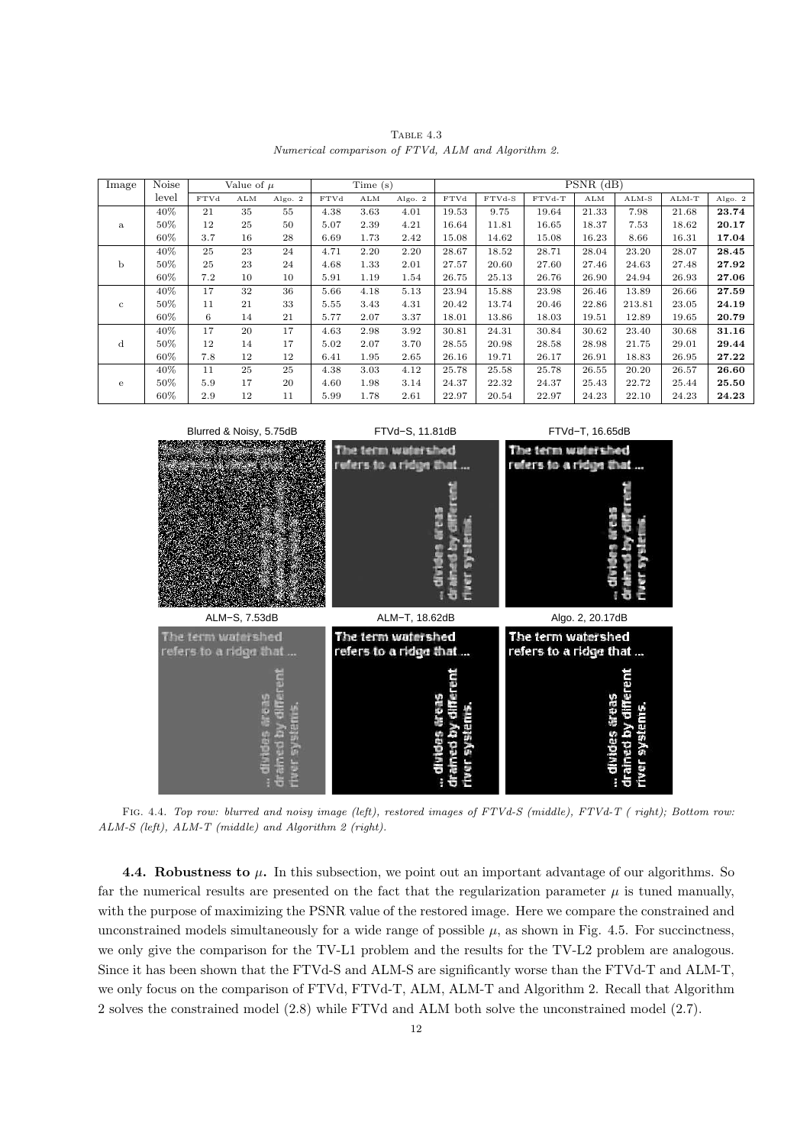TABLE  $4.3$ Numerical comparison of FTVd, ALM and Algorithm 2.

| Image        | Noise |             | Value of $\mu$ |         |             | Time(s) |         |             |        |        | $PSNR$ (dB) |         |         |         |
|--------------|-------|-------------|----------------|---------|-------------|---------|---------|-------------|--------|--------|-------------|---------|---------|---------|
|              | level | <b>FTVd</b> | ALM            | Algo. 2 | <b>FTVd</b> | ALM     | Algo. 2 | <b>FTVd</b> | FTVd-S | FTVd-T | ALM         | $ALM-S$ | $ALM-T$ | Algo. 2 |
|              | 40%   | 21          | 35             | 55      | 4.38        | 3.63    | 4.01    | 19.53       | 9.75   | 19.64  | 21.33       | 7.98    | 21.68   | 23.74   |
| a            | 50%   | 12          | 25             | 50      | 5.07        | 2.39    | 4.21    | 16.64       | 11.81  | 16.65  | 18.37       | 7.53    | 18.62   | 20.17   |
|              | 60%   | 3.7         | 16             | 28      | 6.69        | 1.73    | 2.42    | 15.08       | 14.62  | 15.08  | 16.23       | 8.66    | 16.31   | 17.04   |
|              | 40%   | 25          | 23             | 24      | 4.71        | 2.20    | 2.20    | 28.67       | 18.52  | 28.71  | 28.04       | 23.20   | 28.07   | 28.45   |
| b            | 50%   | 25          | 23             | 24      | 4.68        | 1.33    | 2.01    | 27.57       | 20.60  | 27.60  | 27.46       | 24.63   | 27.48   | 27.92   |
|              | 60%   | 7.2         | 10             | 10      | 5.91        | 1.19    | 1.54    | 26.75       | 25.13  | 26.76  | 26.90       | 24.94   | 26.93   | 27.06   |
|              | 40%   | 17          | 32             | 36      | 5.66        | 4.18    | 5.13    | 23.94       | 15.88  | 23.98  | 26.46       | 13.89   | 26.66   | 27.59   |
| $\mathbf{C}$ | 50%   | 11          | 21             | 33      | 5.55        | 3.43    | 4.31    | 20.42       | 13.74  | 20.46  | 22.86       | 213.81  | 23.05   | 24.19   |
|              | 60%   | 6           | 14             | 21      | 5.77        | 2.07    | 3.37    | 18.01       | 13.86  | 18.03  | 19.51       | 12.89   | 19.65   | 20.79   |
|              | 40%   | 17          | 20             | 17      | 4.63        | 2.98    | 3.92    | 30.81       | 24.31  | 30.84  | 30.62       | 23.40   | 30.68   | 31.16   |
| d            | 50%   | 12          | 14             | 17      | 5.02        | 2.07    | 3.70    | 28.55       | 20.98  | 28.58  | 28.98       | 21.75   | 29.01   | 29.44   |
|              | 60%   | 7.8         | 12             | 12      | 6.41        | 1.95    | 2.65    | 26.16       | 19.71  | 26.17  | 26.91       | 18.83   | 26.95   | 27.22   |
|              | 40%   | 11          | 25             | 25      | 4.38        | 3.03    | 4.12    | 25.78       | 25.58  | 25.78  | 26.55       | 20.20   | 26.57   | 26.60   |
| e            | 50%   | 5.9         | 17             | 20      | 4.60        | 1.98    | 3.14    | 24.37       | 22.32  | 24.37  | 25.43       | 22.72   | 25.44   | 25.50   |
|              | 60%   | 2.9         | 12             | 11      | 5.99        | 1.78    | 2.61    | 22.97       | 20.54  | 22.97  | 24.23       | 22.10   | 24.23   | 24.23   |



Fig. 4.4. Top row: blurred and noisy image (left), restored images of FTVd-S (middle), FTVd-T ( right); Bottom row: ALM-S (left), ALM-T (middle) and Algorithm 2 (right).

4.4. Robustness to  $\mu$ . In this subsection, we point out an important advantage of our algorithms. So far the numerical results are presented on the fact that the regularization parameter  $\mu$  is tuned manually, with the purpose of maximizing the PSNR value of the restored image. Here we compare the constrained and unconstrained models simultaneously for a wide range of possible  $\mu$ , as shown in Fig. 4.5. For succinctness, we only give the comparison for the TV-L1 problem and the results for the TV-L2 problem are analogous. Since it has been shown that the FTVd-S and ALM-S are significantly worse than the FTVd-T and ALM-T, we only focus on the comparison of FTVd, FTVd-T, ALM, ALM-T and Algorithm 2. Recall that Algorithm 2 solves the constrained model (2.8) while FTVd and ALM both solve the unconstrained model (2.7).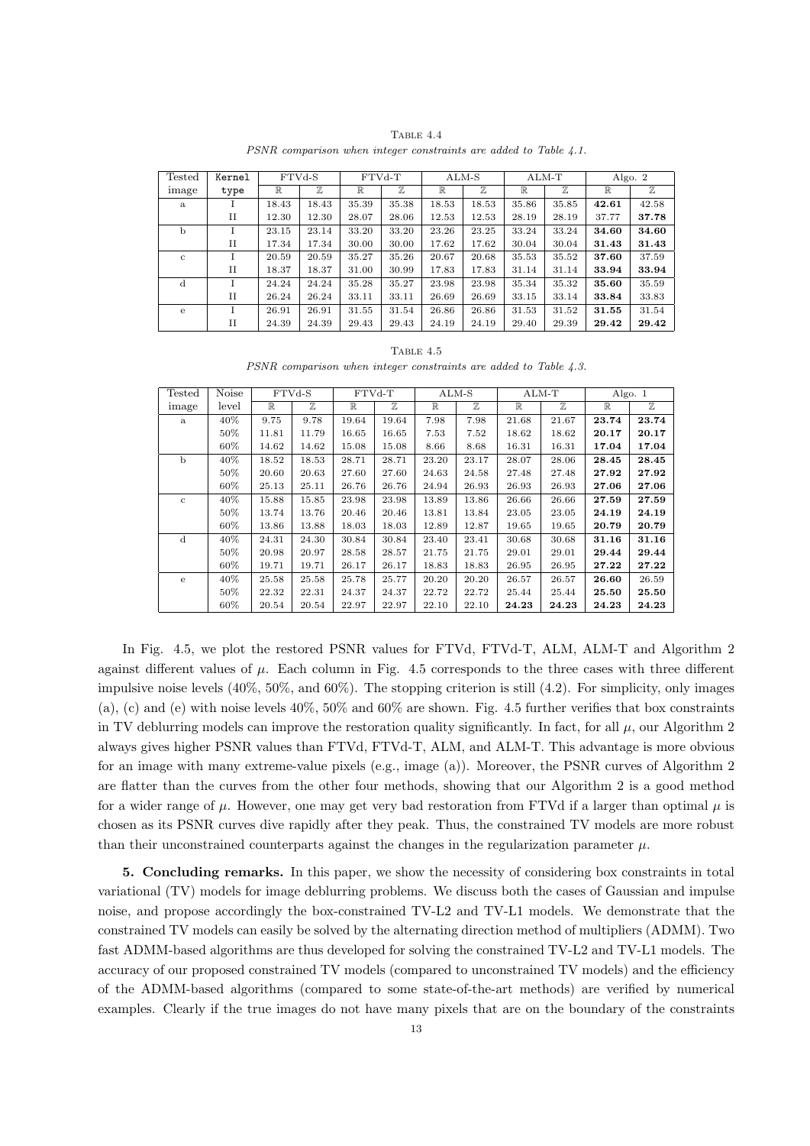TABLE 4.4 PSNR comparison when integer constraints are added to Table 4.1.

| Tested       | Kernel         | FTVd-S       |       | FTVd-T |       | ALM-S       |       | $ALM-T$     |       |             | Algo. 2     |
|--------------|----------------|--------------|-------|--------|-------|-------------|-------|-------------|-------|-------------|-------------|
| image        | type           | $\mathbb{R}$ | 77,   | R      | 77,   | $\mathbb R$ | 7.    | $\mathbb R$ | 7.    | $\mathbb R$ | $\mathbb Z$ |
| a            |                | 18.43        | 18.43 | 35.39  | 35.38 | 18.53       | 18.53 | 35.86       | 35.85 | 42.61       | 42.58       |
|              | H              | 12.30        | 12.30 | 28.07  | 28.06 | 12.53       | 12.53 | 28.19       | 28.19 | 37.77       | 37.78       |
| $\mathbf b$  |                | 23.15        | 23.14 | 33.20  | 33.20 | 23.26       | 23.25 | 33.24       | 33.24 | 34.60       | 34.60       |
|              | $_{\text{II}}$ | 17.34        | 17.34 | 30.00  | 30.00 | 17.62       | 17.62 | 30.04       | 30.04 | 31.43       | 31.43       |
| $\mathbf{c}$ |                | 20.59        | 20.59 | 35.27  | 35.26 | 20.67       | 20.68 | 35.53       | 35.52 | 37.60       | 37.59       |
|              | $_{\rm II}$    | 18.37        | 18.37 | 31.00  | 30.99 | 17.83       | 17.83 | 31.14       | 31.14 | 33.94       | 33.94       |
| d            |                | 24.24        | 24.24 | 35.28  | 35.27 | 23.98       | 23.98 | 35.34       | 35.32 | 35.60       | 35.59       |
|              | $_{\text{II}}$ | 26.24        | 26.24 | 33.11  | 33.11 | 26.69       | 26.69 | 33.15       | 33.14 | 33.84       | 33.83       |
| e            |                | 26.91        | 26.91 | 31.55  | 31.54 | 26.86       | 26.86 | 31.53       | 31.52 | 31.55       | 31.54       |
|              | H              | 24.39        | 24.39 | 29.43  | 29.43 | 24.19       | 24.19 | 29.40       | 29.39 | 29.42       | 29.42       |

TABLE  $4.5$ 

PSNR comparison when integer constraints are added to Table 4.3.

| Tested       | Noise  |             | FTVd-S |             | FTVd-T      |             | $ALM-S$ |             | $ALM-T$ | Algo. 1     |       |
|--------------|--------|-------------|--------|-------------|-------------|-------------|---------|-------------|---------|-------------|-------|
| image        | level  | $\mathbb R$ | Z      | $\mathbb R$ | $\mathbb Z$ | $\mathbb R$ | Z       | $\mathbb R$ | 77,     | $\mathbb R$ | Z     |
| a            | 40%    | 9.75        | 9.78   | 19.64       | 19.64       | 7.98        | 7.98    | 21.68       | 21.67   | 23.74       | 23.74 |
|              | 50%    | 11.81       | 11.79  | 16.65       | 16.65       | 7.53        | 7.52    | 18.62       | 18.62   | 20.17       | 20.17 |
|              | 60%    | 14.62       | 14.62  | 15.08       | 15.08       | 8.66        | 8.68    | 16.31       | 16.31   | 17.04       | 17.04 |
| $\mathbf b$  | 40%    | 18.52       | 18.53  | 28.71       | 28.71       | 23.20       | 23.17   | 28.07       | 28.06   | 28.45       | 28.45 |
|              | $50\%$ | 20.60       | 20.63  | 27.60       | 27.60       | 24.63       | 24.58   | 27.48       | 27.48   | 27.92       | 27.92 |
|              | 60%    | 25.13       | 25.11  | 26.76       | 26.76       | 24.94       | 26.93   | 26.93       | 26.93   | 27.06       | 27.06 |
| $\mathbf{c}$ | 40%    | 15.88       | 15.85  | 23.98       | 23.98       | 13.89       | 13.86   | 26.66       | 26.66   | 27.59       | 27.59 |
|              | 50%    | 13.74       | 13.76  | 20.46       | 20.46       | 13.81       | 13.84   | 23.05       | 23.05   | 24.19       | 24.19 |
|              | 60%    | 13.86       | 13.88  | 18.03       | 18.03       | 12.89       | 12.87   | 19.65       | 19.65   | 20.79       | 20.79 |
| $\mathbf d$  | $40\%$ | 24.31       | 24.30  | 30.84       | 30.84       | 23.40       | 23.41   | 30.68       | 30.68   | 31.16       | 31.16 |
|              | 50%    | 20.98       | 20.97  | 28.58       | 28.57       | 21.75       | 21.75   | 29.01       | 29.01   | 29.44       | 29.44 |
|              | 60%    | 19.71       | 19.71  | 26.17       | 26.17       | 18.83       | 18.83   | 26.95       | 26.95   | 27.22       | 27.22 |
| e            | 40%    | 25.58       | 25.58  | 25.78       | 25.77       | 20.20       | 20.20   | 26.57       | 26.57   | 26.60       | 26.59 |
|              | $50\%$ | 22.32       | 22.31  | 24.37       | 24.37       | 22.72       | 22.72   | 25.44       | 25.44   | 25.50       | 25.50 |
|              | 60%    | 20.54       | 20.54  | 22.97       | 22.97       | 22.10       | 22.10   | 24.23       | 24.23   | 24.23       | 24.23 |

In Fig. 4.5, we plot the restored PSNR values for FTVd, FTVd-T, ALM, ALM-T and Algorithm 2 against different values of  $\mu$ . Each column in Fig. 4.5 corresponds to the three cases with three different impulsive noise levels (40%, 50%, and 60%). The stopping criterion is still (4.2). For simplicity, only images (a), (c) and (e) with noise levels 40%, 50% and 60% are shown. Fig. 4.5 further verifies that box constraints in TV deblurring models can improve the restoration quality significantly. In fact, for all  $\mu$ , our Algorithm 2 always gives higher PSNR values than FTVd, FTVd-T, ALM, and ALM-T. This advantage is more obvious for an image with many extreme-value pixels (e.g., image (a)). Moreover, the PSNR curves of Algorithm 2 are flatter than the curves from the other four methods, showing that our Algorithm 2 is a good method for a wider range of  $\mu$ . However, one may get very bad restoration from FTVd if a larger than optimal  $\mu$  is chosen as its PSNR curves dive rapidly after they peak. Thus, the constrained TV models are more robust than their unconstrained counterparts against the changes in the regularization parameter  $\mu$ .

5. Concluding remarks. In this paper, we show the necessity of considering box constraints in total variational (TV) models for image deblurring problems. We discuss both the cases of Gaussian and impulse noise, and propose accordingly the box-constrained TV-L2 and TV-L1 models. We demonstrate that the constrained TV models can easily be solved by the alternating direction method of multipliers (ADMM). Two fast ADMM-based algorithms are thus developed for solving the constrained TV-L2 and TV-L1 models. The accuracy of our proposed constrained TV models (compared to unconstrained TV models) and the efficiency of the ADMM-based algorithms (compared to some state-of-the-art methods) are verified by numerical examples. Clearly if the true images do not have many pixels that are on the boundary of the constraints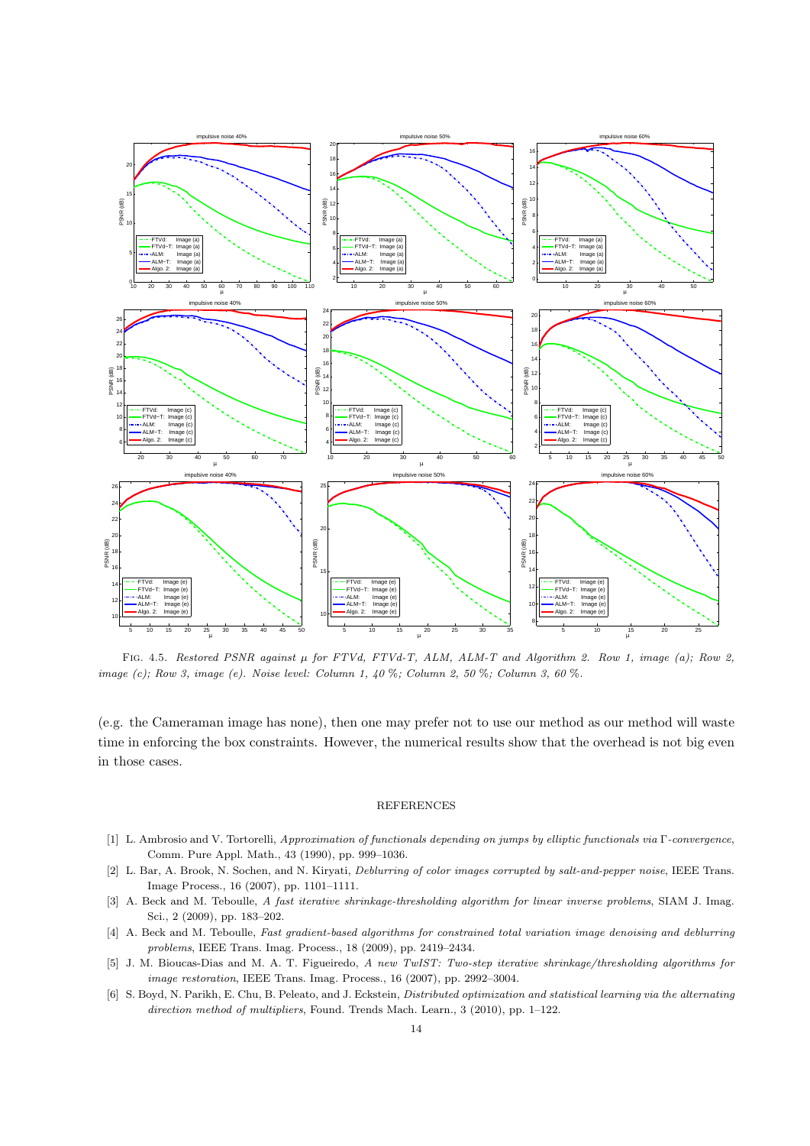

FIG. 4.5. Restored PSNR against  $\mu$  for FTVd, FTVd-T, ALM, ALM-T and Algorithm 2. Row 1, image (a); Row 2, image (c); Row 3, image (e). Noise level: Column 1,  $40\%$ ; Column 2, 50 %; Column 3, 60 %.

(e.g. the Cameraman image has none), then one may prefer not to use our method as our method will waste time in enforcing the box constraints. However, the numerical results show that the overhead is not big even in those cases.

## REFERENCES

- [1] L. Ambrosio and V. Tortorelli, Approximation of functionals depending on jumps by elliptic functionals via Γ-convergence, Comm. Pure Appl. Math., 43 (1990), pp. 999–1036.
- [2] L. Bar, A. Brook, N. Sochen, and N. Kiryati, Deblurring of color images corrupted by salt-and-pepper noise, IEEE Trans. Image Process., 16 (2007), pp. 1101–1111.
- [3] A. Beck and M. Teboulle, A fast iterative shrinkage-thresholding algorithm for linear inverse problems, SIAM J. Imag. Sci., 2 (2009), pp. 183–202.
- [4] A. Beck and M. Teboulle, Fast gradient-based algorithms for constrained total variation image denoising and deblurring problems, IEEE Trans. Imag. Process., 18 (2009), pp. 2419–2434.
- [5] J. M. Bioucas-Dias and M. A. T. Figueiredo, A new TwIST: Two-step iterative shrinkage/thresholding algorithms for image restoration, IEEE Trans. Imag. Process., 16 (2007), pp. 2992–3004.
- [6] S. Boyd, N. Parikh, E. Chu, B. Peleato, and J. Eckstein, *Distributed optimization and statistical learning via the alternating* direction method of multipliers, Found. Trends Mach. Learn., 3 (2010), pp. 1-122.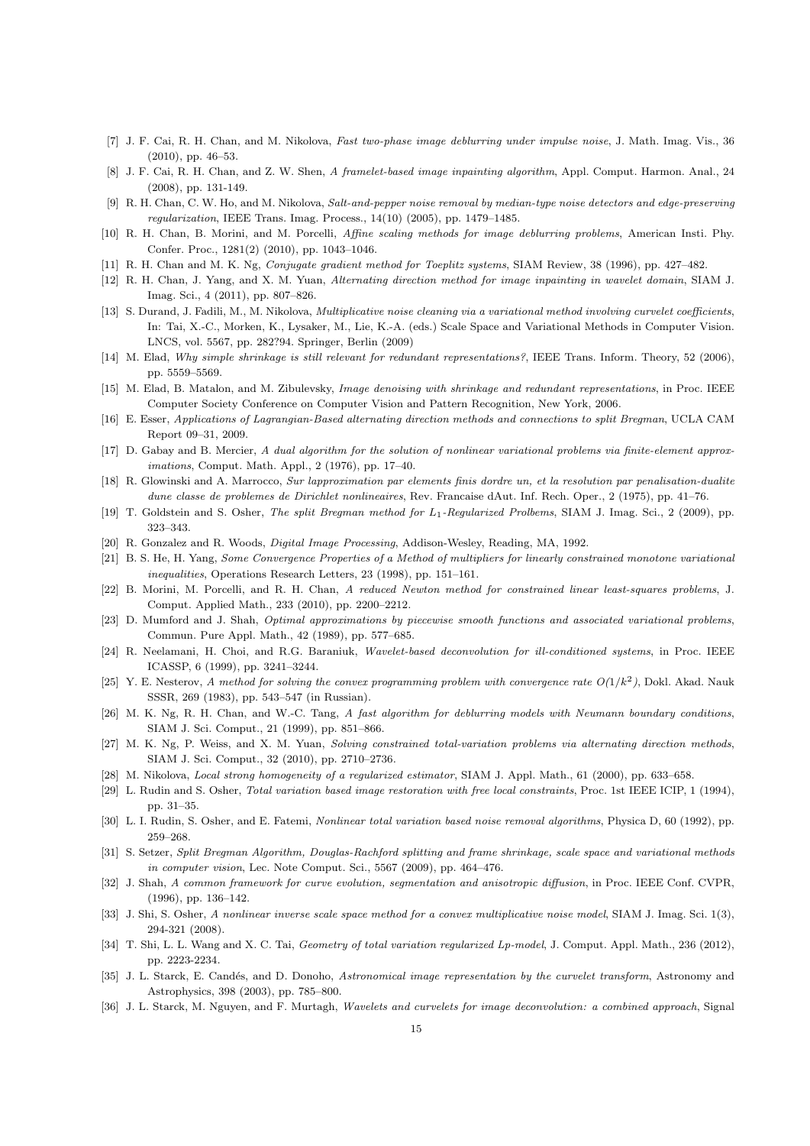- [7] J. F. Cai, R. H. Chan, and M. Nikolova, Fast two-phase image deblurring under impulse noise, J. Math. Imag. Vis., 36 (2010), pp. 46–53.
- [8] J. F. Cai, R. H. Chan, and Z. W. Shen, A framelet-based image inpainting algorithm, Appl. Comput. Harmon. Anal., 24 (2008), pp. 131-149.
- [9] R. H. Chan, C. W. Ho, and M. Nikolova, Salt-and-pepper noise removal by median-type noise detectors and edge-preserving regularization, IEEE Trans. Imag. Process., 14(10) (2005), pp. 1479–1485.
- [10] R. H. Chan, B. Morini, and M. Porcelli, Affine scaling methods for image deblurring problems, American Insti. Phy. Confer. Proc., 1281(2) (2010), pp. 1043–1046.
- [11] R. H. Chan and M. K. Ng, Conjugate gradient method for Toeplitz systems, SIAM Review, 38 (1996), pp. 427–482.
- [12] R. H. Chan, J. Yang, and X. M. Yuan, Alternating direction method for image inpainting in wavelet domain, SIAM J. Imag. Sci., 4 (2011), pp. 807–826.
- [13] S. Durand, J. Fadili, M., M. Nikolova, *Multiplicative noise cleaning via a variational method involving curvelet coefficients*, In: Tai, X.-C., Morken, K., Lysaker, M., Lie, K.-A. (eds.) Scale Space and Variational Methods in Computer Vision. LNCS, vol. 5567, pp. 282?94. Springer, Berlin (2009)
- [14] M. Elad, Why simple shrinkage is still relevant for redundant representations?, IEEE Trans. Inform. Theory, 52 (2006), pp. 5559–5569.
- [15] M. Elad, B. Matalon, and M. Zibulevsky, Image denoising with shrinkage and redundant representations, in Proc. IEEE Computer Society Conference on Computer Vision and Pattern Recognition, New York, 2006.
- [16] E. Esser, Applications of Lagrangian-Based alternating direction methods and connections to split Bregman, UCLA CAM Report 09–31, 2009.
- [17] D. Gabay and B. Mercier, A dual algorithm for the solution of nonlinear variational problems via finite-element approximations, Comput. Math. Appl., 2 (1976), pp. 17–40.
- [18] R. Glowinski and A. Marrocco, Sur lapproximation par elements finis dordre un, et la resolution par penalisation-dualite dune classe de problemes de Dirichlet nonlineaires, Rev. Francaise dAut. Inf. Rech. Oper., 2 (1975), pp. 41–76.
- [19] T. Goldstein and S. Osher, *The split Bregman method for L*<sub>1</sub>-Regularized Prolbems, SIAM J. Imag. Sci., 2 (2009), pp. 323–343.
- [20] R. Gonzalez and R. Woods, Digital Image Processing, Addison-Wesley, Reading, MA, 1992.
- [21] B. S. He, H. Yang, Some Convergence Properties of a Method of multipliers for linearly constrained monotone variational inequalities, Operations Research Letters, 23 (1998), pp. 151–161.
- [22] B. Morini, M. Porcelli, and R. H. Chan, A reduced Newton method for constrained linear least-squares problems, J. Comput. Applied Math., 233 (2010), pp. 2200–2212.
- [23] D. Mumford and J. Shah, *Optimal approximations by piecewise smooth functions and associated variational problems*, Commun. Pure Appl. Math., 42 (1989), pp. 577–685.
- [24] R. Neelamani, H. Choi, and R.G. Baraniuk, Wavelet-based deconvolution for ill-conditioned systems, in Proc. IEEE ICASSP, 6 (1999), pp. 3241–3244.
- [25] Y. E. Nesterov, A method for solving the convex programming problem with convergence rate  $O(1/k^2)$ , Dokl. Akad. Nauk SSSR, 269 (1983), pp. 543–547 (in Russian).
- [26] M. K. Ng, R. H. Chan, and W.-C. Tang, A fast algorithm for deblurring models with Neumann boundary conditions, SIAM J. Sci. Comput., 21 (1999), pp. 851–866.
- [27] M. K. Ng, P. Weiss, and X. M. Yuan, Solving constrained total-variation problems via alternating direction methods, SIAM J. Sci. Comput., 32 (2010), pp. 2710–2736.
- [28] M. Nikolova, Local strong homogeneity of a regularized estimator, SIAM J. Appl. Math., 61 (2000), pp. 633–658.
- [29] L. Rudin and S. Osher, Total variation based image restoration with free local constraints, Proc. 1st IEEE ICIP, 1 (1994), pp. 31–35.
- [30] L. I. Rudin, S. Osher, and E. Fatemi, *Nonlinear total variation based noise removal algorithms*, Physica D, 60 (1992), pp. 259–268.
- [31] S. Setzer, Split Bregman Algorithm, Douglas-Rachford splitting and frame shrinkage, scale space and variational methods in computer vision, Lec. Note Comput. Sci., 5567 (2009), pp. 464–476.
- [32] J. Shah, A common framework for curve evolution, segmentation and anisotropic diffusion, in Proc. IEEE Conf. CVPR, (1996), pp. 136–142.
- [33] J. Shi, S. Osher, A nonlinear inverse scale space method for a convex multiplicative noise model, SIAM J. Imag. Sci. 1(3), 294-321 (2008).
- [34] T. Shi, L. L. Wang and X. C. Tai, Geometry of total variation regularized Lp-model, J. Comput. Appl. Math., 236 (2012), pp. 2223-2234.
- [35] J. L. Starck, E. Candés, and D. Donoho, Astronomical image representation by the curvelet transform, Astronomy and Astrophysics, 398 (2003), pp. 785–800.
- [36] J. L. Starck, M. Nguyen, and F. Murtagh, Wavelets and curvelets for image deconvolution: a combined approach, Signal